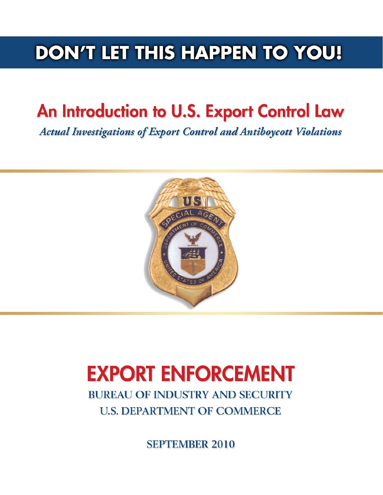## **DON'T LET THIS HAPPEN TO YOU!**

# An Introduction to U.S. Export Control Law

**Actual Investigations of Export Control and Antiboycott Violations** 



# **EXPORT ENFORCEMENT**

**BUREAU OF INDUSTRY AND SECURITY U.S. DEPARTMENT OF COMMERCE** 

**SEPTEMBER 2010**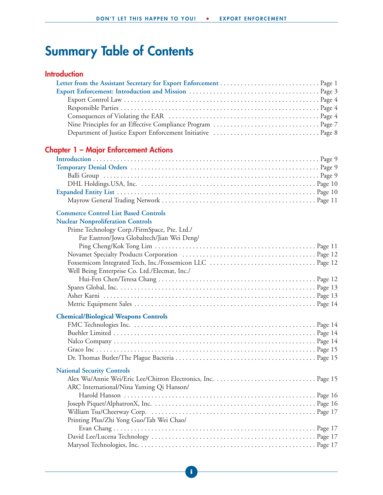## **Summary Table of Contents**

#### **Introduction**

### **Chapter 1 – Major Enforcement Actions**

#### **Commerce Control List Based Controls**

| <b>Commerce Control List Based Controls</b>   |  |
|-----------------------------------------------|--|
| <b>Nuclear Nonproliferation Controls</b>      |  |
| Prime Technology Corp./FirmSpace, Pte. Ltd./  |  |
| Far Eastron/Jowa Globaltech/Jian Wei Deng/    |  |
|                                               |  |
|                                               |  |
|                                               |  |
| Well Being Enterprise Co. Ltd./Elecmat, Inc./ |  |
|                                               |  |
|                                               |  |
|                                               |  |
|                                               |  |
| <b>Chemical/Biological Weapons Controls</b>   |  |
|                                               |  |
|                                               |  |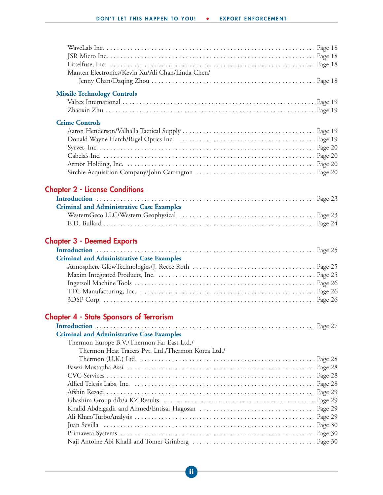| Manten Electronics/Kevin Xu/Ali Chan/Linda Chen/   |  |
|----------------------------------------------------|--|
| <b>Missile Technology Controls</b>                 |  |
| <b>Crime Controls</b>                              |  |
| <b>Chapter 2 - License Conditions</b>              |  |
| <b>Criminal and Administrative Case Examples</b>   |  |
|                                                    |  |
| <b>Chapter 3 - Deemed Exports</b>                  |  |
| <b>Criminal and Administrative Case Examples</b>   |  |
|                                                    |  |
|                                                    |  |
|                                                    |  |
|                                                    |  |
| <b>Chapter 4 - State Sponsors of Terrorism</b>     |  |
|                                                    |  |
| <b>Criminal and Administrative Case Examples</b>   |  |
| Thermon Europe B.V./Thermon Far East Ltd./         |  |
| Thermon Heat Tracers Pvt. Ltd./Thermon Korea Ltd./ |  |
|                                                    |  |
|                                                    |  |
|                                                    |  |
|                                                    |  |
|                                                    |  |
|                                                    |  |
|                                                    |  |
|                                                    |  |
|                                                    |  |
|                                                    |  |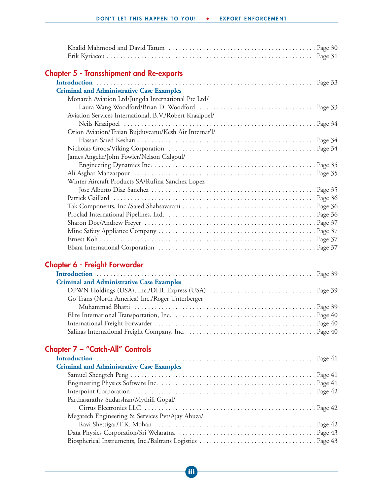| <b>Chapter 5 - Transshipment and Re-exports</b>         |  |
|---------------------------------------------------------|--|
|                                                         |  |
| <b>Criminal and Administrative Case Examples</b>        |  |
| Monarch Aviation Ltd/Jungda International Pte Ltd/      |  |
|                                                         |  |
| Aviation Services International, B.V./Robert Kraaipoel/ |  |
|                                                         |  |
| Orion Aviation/Traian Bujduveanu/Kesh Air Internat'l/   |  |
|                                                         |  |
|                                                         |  |
| James Angehr/John Fowler/Nelson Galgoul/                |  |
|                                                         |  |
|                                                         |  |
| Winter Aircraft Products SA/Rufina Sanchez Lopez        |  |
|                                                         |  |
|                                                         |  |
|                                                         |  |
|                                                         |  |
|                                                         |  |
|                                                         |  |
|                                                         |  |
|                                                         |  |
| <b>Chapter 6 - Freight Forwarder</b>                    |  |
|                                                         |  |
| <b>Criminal and Administrative Case Examples</b>        |  |
|                                                         |  |
| Go Trans (North America) Inc./Roger Unterberger         |  |
|                                                         |  |
|                                                         |  |
|                                                         |  |
|                                                         |  |
| Chapter 7 - "Catch-All" Controls                        |  |

| <b>Criminal and Administrative Case Examples</b> |  |
|--------------------------------------------------|--|
|                                                  |  |
|                                                  |  |
|                                                  |  |
| Parthasarathy Sudarshan/Mythili Gopal/           |  |
|                                                  |  |
| Megatech Engineering & Services Pvt/Ajay Ahuza/  |  |
|                                                  |  |
|                                                  |  |
|                                                  |  |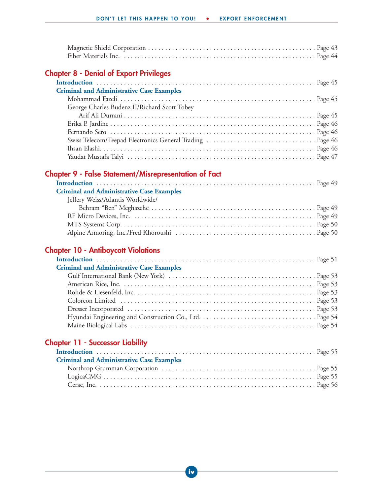### **Chapter 8 - Denial of Export Privileges**

| <b>Criminal and Administrative Case Examples</b> |
|--------------------------------------------------|
|                                                  |
| George Charles Budenz II/Richard Scott Tobey     |
|                                                  |
|                                                  |
|                                                  |
|                                                  |
|                                                  |
|                                                  |

### **Chapter 9 - False Statement/Misrepresentation of Fact**

| <b>Criminal and Administrative Case Examples</b> |  |
|--------------------------------------------------|--|
| Jeffery Weiss/Atlantis Worldwide/                |  |
|                                                  |  |
|                                                  |  |
|                                                  |  |
|                                                  |  |

#### **Chapter 10 - Antiboycott Violations**

| <b>Criminal and Administrative Case Examples</b> |  |
|--------------------------------------------------|--|
|                                                  |  |
|                                                  |  |
|                                                  |  |
|                                                  |  |
|                                                  |  |
|                                                  |  |
|                                                  |  |

#### **Chapter 11 - Successor Liability**

| <b>Criminal and Administrative Case Examples</b> |  |
|--------------------------------------------------|--|
|                                                  |  |
|                                                  |  |
|                                                  |  |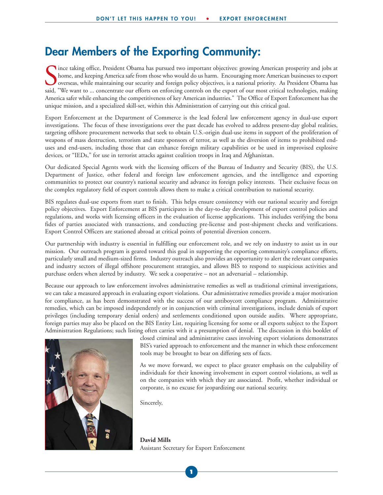### **Dear Members of the Exporting Community:**

Since taking office, President Obama has pursued two important objectives: growing American prosperity and jobs at home, and keeping America safe from those who would do us harm. Encouraging more American businesses to exp Ince taking office, President Obama has pursued two important objectives: growing American prosperity and jobs at home, and keeping America safe from those who would do us harm. Encouraging more American businesses to export overseas, while maintaining our security and foreign policy objectives, is a national priority. As President Obama has America safer while enhancing the competitiveness of key American industries." The Office of Export Enforcement has the unique mission, and a specialized skill-set, within this Administration of carrying out this critical goal.

Export Enforcement at the Department of Commerce is the lead federal law enforcement agency in dual-use export investigations. The focus of these investigations over the past decade has evolved to address present-day global realities, targeting offshore procurement networks that seek to obtain U.S.-origin dual-use items in support of the proliferation of weapons of mass destruction, terrorism and state sponsors of terror, as well as the diversion of items to prohibited enduses and end-users, including those that can enhance foreign military capabilities or be used in improvised explosive devices, or "IEDs," for use in terrorist attacks against coalition troops in Iraq and Afghanistan.

Our dedicated Special Agents work with the licensing officers of the Bureau of Industry and Security (BIS), the U.S. Department of Justice, other federal and foreign law enforcement agencies, and the intelligence and exporting communities to protect our country's national security and advance its foreign policy interests. Their exclusive focus on the complex regulatory field of export controls allows them to make a critical contribution to national security.

BIS regulates dual-use exports from start to finish. This helps ensure consistency with our national security and foreign policy objectives. Export Enforcement at BIS participates in the day-to-day development of export control policies and regulations, and works with licensing officers in the evaluation of license applications. This includes verifying the bona fides of parties associated with transactions, and conducting pre-license and post-shipment checks and verifications. Export Control Officers are stationed abroad at critical points of potential diversion concern.

Our partnership with industry is essential in fulfilling our enforcement role, and we rely on industry to assist us in our mission. Our outreach program is geared toward this goal in supporting the exporting community's compliance efforts, particularly small and medium-sized firms. Industry outreach also provides an opportunity to alert the relevant companies and industry sectors of illegal offshore procurement strategies, and allows BIS to respond to suspicious activities and purchase orders when alerted by industry. We seek a cooperative – not an adversarial – relationship.

Because our approach to law enforcement involves administrative remedies as well as traditional criminal investigations, we can take a measured approach in evaluating export violations. Our administrative remedies provide a major motivation for compliance, as has been demonstrated with the success of our antiboycott compliance program. Administrative remedies, which can be imposed independently or in conjunction with criminal investigations, include denials of export privileges (including temporary denial orders) and settlements conditioned upon outside audits. Where appropriate, foreign parties may also be placed on the BIS Entity List, requiring licensing for some or all exports subject to the Export Administration Regulations; such listing often carries with it a presumption of denial. The discussion in this booklet of



closed criminal and administrative cases involving export violations demonstrates BIS's varied approach to enforcement and the manner in which these enforcement tools may be brought to bear on differing sets of facts.

As we move forward, we expect to place greater emphasis on the culpability of individuals for their knowing involvement in export control violations, as well as on the companies with which they are associated. Profit, whether individual or corporate, is no excuse for jeopardizing our national security.

Sincerely,

**David Mills** Assistant Secretary for Export Enforcement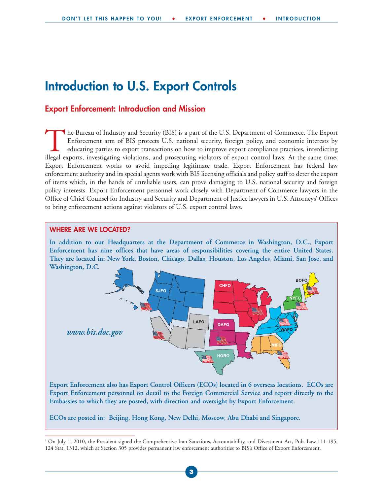### **Introduction to U.S. Export Controls**

#### **Export Enforcement: Introduction and Mission**

The Bureau of Industry and Security (BIS) is a part of the U.S. Department of Commerce. The Export<br>Enforcement arm of BIS protects U.S. national security, foreign policy, and economic interests by<br>educating parties to expo Enforcement arm of BIS protects U.S. national security, foreign policy, and economic interests by educating parties to export transactions on how to improve export compliance practices, interdicting illegal exports, investigating violations, and prosecuting violators of export control laws. At the same time, Export Enforcement works to avoid impeding legitimate trade. Export Enforcement has federal law enforcement authority and its special agents work with BIS licensing officials and policy staff to deter the export of items which, in the hands of unreliable users, can prove damaging to U.S. national security and foreign policy interests. Export Enforcement personnel work closely with Department of Commerce lawyers in the Office of Chief Counsel for Industry and Security and Department of Justice lawyers in U.S. Attorneys' Offices to bring enforcement actions against violators of U.S. export control laws.

#### **WHERE ARE WE LOCATED?**

**In addition to our Headquarters at the Department of Commerce in Washington, D.C., Export Enforcement has nine offices that have areas of responsibilities covering the entire United States. They are located in: New York, Boston, Chicago, Dallas, Houston, Los Angeles, Miami, San Jose, and Washington, D.C.**



**Export Enforcement also has Export Control Officers (ECOs) located in 6 overseas locations. ECOs are Export Enforcement personnel on detail to the Foreign Commercial Service and report directly to the Embassies to which they are posted, with direction and oversight by Export Enforcement.**

**ECOs are posted in: Beijing, Hong Kong, New Delhi, Moscow, Abu Dhabi and Singapore.** 

<sup>1</sup> On July 1, 2010, the President signed the Comprehensive Iran Sanctions, Accountability, and Divestment Act, Pub. Law 111-195, 124 Stat. 1312, which at Section 305 provides permanent law enforcement authorities to BIS's Office of Export Enforcement.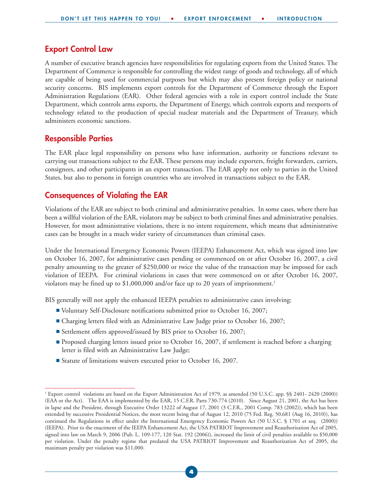#### **Export Control Law**

A number of executive branch agencies have responsibilities for regulating exports from the United States. The Department of Commerce is responsible for controlling the widest range of goods and technology, all of which are capable of being used for commercial purposes but which may also present foreign policy or national security concerns. BIS implements export controls for the Department of Commerce through the Export Administration Regulations (EAR). Other federal agencies with a role in export control include the State Department, which controls arms exports, the Department of Energy, which controls exports and reexports of technology related to the production of special nuclear materials and the Department of Treasury, which administers economic sanctions.

#### **Responsible Parties**

The EAR place legal responsibility on persons who have information, authority or functions relevant to carrying out transactions subject to the EAR. These persons may include exporters, freight forwarders, carriers, consignees, and other participants in an export transaction. The EAR apply not only to parties in the United States, but also to persons in foreign countries who are involved in transactions subject to the EAR.

#### **Consequences of Violating the EAR**

Violations of the EAR are subject to both criminal and administrative penalties. In some cases, where there has been a willful violation of the EAR, violators may be subject to both criminal fines and administrative penalties. However, for most administrative violations, there is no intent requirement, which means that administrative cases can be brought in a much wider variety of circumstances than criminal cases.

Under the International Emergency Economic Powers (IEEPA) Enhancement Act, which was signed into law on October 16, 2007, for administrative cases pending or commenced on or after October 16, 2007, a civil penalty amounting to the greater of \$250,000 or twice the value of the transaction may be imposed for each violation of IEEPA. For criminal violations in cases that were commenced on or after October 16, 2007, violators may be fined up to \$1,000,000 and/or face up to 20 years of imprisonment.<sup>2</sup>

BIS generally will not apply the enhanced IEEPA penalties to administrative cases involving:

- Voluntary Self-Disclosure notifications submitted prior to October 16, 2007;
- Charging letters filed with an Administrative Law Judge prior to October 16, 2007;
- Settlement offers approved/issued by BIS prior to October 16, 2007;
- Proposed charging letters issued prior to October 16, 2007, if settlement is reached before a charging letter is filed with an Administrative Law Judge;
- Statute of limitations waivers executed prior to October 16, 2007.

<sup>2</sup> Export control violations are based on the Export Administration Act of 1979, as amended (50 U.S.C. app. §§ 2401- 2420 (2000)) (EAA or the Act). The EAA is implemented by the EAR, 15 C.F.R. Parts 730-774 (2010). Since August 21, 2001, the Act has been in lapse and the President, through Executive Order 13222 of August 17, 2001 (3 C.F.R., 2001 Comp. 783 (2002)), which has been extended by successive Presidential Notices, the most recent being that of August 12, 2010 (75 Fed. Reg. 50,681 (Aug 16, 2010)), has continued the Regulations in effect under the International Emergency Economic Powers Act (50 U.S.C. § 1701 et seq. (2000)) (IEEPA). Prior to the enactment of the IEEPA Enhancement Act, the USA PATRIOT Improvement and Reauthorization Act of 2005, signed into law on March 9, 2006 (Pub. L. 109-177, 120 Stat. 192 (2006)), increased the limit of civil penalties available to \$50,000 per violation. Under the penalty regime that predated the USA PATRIOT Improvement and Reauthorization Act of 2005, the maximum penalty per violation was \$11,000.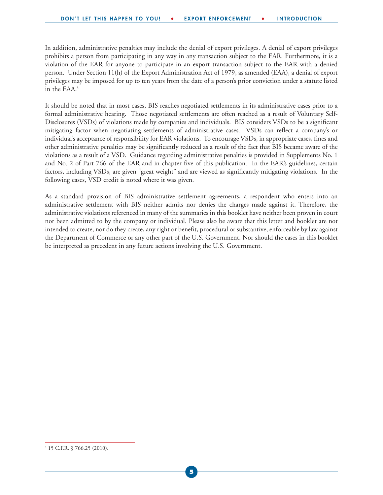In addition, administrative penalties may include the denial of export privileges. A denial of export privileges prohibits a person from participating in any way in any transaction subject to the EAR. Furthermore, it is a violation of the EAR for anyone to participate in an export transaction subject to the EAR with a denied person. Under Section 11(h) of the Export Administration Act of 1979, as amended (EAA), a denial of export privileges may be imposed for up to ten years from the date of a person's prior conviction under a statute listed in the EAA.3

It should be noted that in most cases, BIS reaches negotiated settlements in its administrative cases prior to a formal administrative hearing. Those negotiated settlements are often reached as a result of Voluntary Self-Disclosures (VSDs) of violations made by companies and individuals. BIS considers VSDs to be a significant mitigating factor when negotiating settlements of administrative cases. VSDs can reflect a company's or individual's acceptance of responsibility for EAR violations. To encourage VSDs, in appropriate cases, fines and other administrative penalties may be significantly reduced as a result of the fact that BIS became aware of the violations as a result of a VSD. Guidance regarding administrative penalties is provided in Supplements No. 1 and No. 2 of Part 766 of the EAR and in chapter five of this publication. In the EAR's guidelines, certain factors, including VSDs, are given "great weight" and are viewed as significantly mitigating violations. In the following cases, VSD credit is noted where it was given.

As a standard provision of BIS administrative settlement agreements, a respondent who enters into an administrative settlement with BIS neither admits nor denies the charges made against it. Therefore, the administrative violations referenced in many of the summaries in this booklet have neither been proven in court nor been admitted to by the company or individual. Please also be aware that this letter and booklet are not intended to create, nor do they create, any right or benefit, procedural or substantive, enforceable by law against the Department of Commerce or any other part of the U.S. Government. Nor should the cases in this booklet be interpreted as precedent in any future actions involving the U.S. Government.

<sup>3</sup> 15 C.F.R. § 766.25 (2010).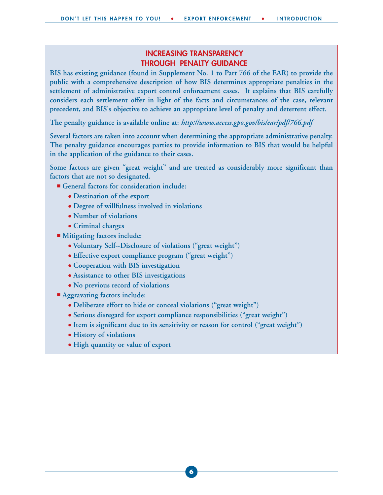#### **INCREASING TRANSPARENCY THROUGH PENALTY GUIDANCE**

**BIS has existing guidance (found in Supplement No. 1 to Part 766 of the EAR) to provide the public with a comprehensive description of how BIS determines appropriate penalties in the settlement of administrative export control enforcement cases. It explains that BIS carefully considers each settlement offer in light of the facts and circumstances of the case, relevant precedent, and BIS's objective to achieve an appropriate level of penalty and deterrent effect.** 

**The penalty guidance is available online at:** *http://www.access.gpo.gov/bis/ear/pdf/766.pdf*

**Several factors are taken into account when determining the appropriate administrative penalty. The penalty guidance encourages parties to provide information to BIS that would be helpful in the application of the guidance to their cases.** 

**Some factors are given "great weight" and are treated as considerably more significant than factors that are not so designated.** 

- General factors for consideration include:
	- **Destination of the export**
	- **Degree of willfulness involved in violations**
	- **Number of violations**
	- **Criminal charges**
- Mitigating factors include:
	- **Voluntary Self--Disclosure of violations ("great weight")**
	- **Effective export compliance program ("great weight")**
	- **Cooperation with BIS investigation**
	- **Assistance to other BIS investigations**
	- **No previous record of violations**
- **Aggravating factors include:** 
	- **Deliberate effort to hide or conceal violations ("great weight")**
	- **Serious disregard for export compliance responsibilities ("great weight")**
	- **Item is significant due to its sensitivity or reason for control ("great weight")**
	- **History of violations**
	- **High quantity or value of export**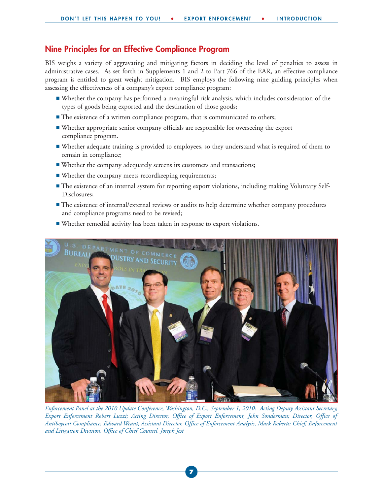#### **Nine Principles for an Effective Compliance Program**

BIS weighs a variety of aggravating and mitigating factors in deciding the level of penalties to assess in administrative cases. As set forth in Supplements 1 and 2 to Part 766 of the EAR, an effective compliance program is entitled to great weight mitigation. BIS employs the following nine guiding principles when assessing the effectiveness of a company's export compliance program:

- Whether the company has performed a meaningful risk analysis, which includes consideration of the types of goods being exported and the destination of those goods;
- The existence of a written compliance program, that is communicated to others;
- Whether appropriate senior company officials are responsible for overseeing the export compliance program.
- Whether adequate training is provided to employees, so they understand what is required of them to remain in compliance;
- Whether the company adequately screens its customers and transactions;
- Whether the company meets recordkeeping requirements;
- The existence of an internal system for reporting export violations, including making Voluntary Self-Disclosures;
- The existence of internal/external reviews or audits to help determine whether company procedures and compliance programs need to be revised;





*Enforcement Panel at the 2010 Update Conference, Washington, D.C., September 1, 2010: Acting Deputy Assistant Secretary, Export Enforcement Robert Luzzi; Acting Director, Office of Export Enforcement, John Sonderman; Director, Office of Antiboycott Compliance, Edward Weant; Assistant Director, Office of Enforcement Analysis, Mark Roberts; Chief, Enforcement and Litigation Division, Office of Chief Counsel, Joseph Jest*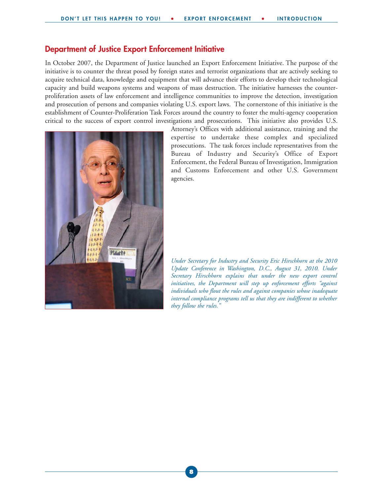#### **Department of Justice Export Enforcement Initiative**

In October 2007, the Department of Justice launched an Export Enforcement Initiative. The purpose of the initiative is to counter the threat posed by foreign states and terrorist organizations that are actively seeking to acquire technical data, knowledge and equipment that will advance their efforts to develop their technological capacity and build weapons systems and weapons of mass destruction. The initiative harnesses the counterproliferation assets of law enforcement and intelligence communities to improve the detection, investigation and prosecution of persons and companies violating U.S. export laws. The cornerstone of this initiative is the establishment of Counter-Proliferation Task Forces around the country to foster the multi-agency cooperation critical to the success of export control investigations and prosecutions. This initiative also provides U.S.



Attorney's Offices with additional assistance, training and the expertise to undertake these complex and specialized prosecutions. The task forces include representatives from the Bureau of Industry and Security's Office of Export Enforcement, the Federal Bureau of Investigation, Immigration and Customs Enforcement and other U.S. Government agencies.

*Under Secretary for Industry and Security Eric Hirschhorn at the 2010 Update Conference in Washington, D.C., August 31, 2010. Under Secretary Hirschhorn explains that under the new export control initiatives, the Department will step up enforcement efforts "against individuals who flout the rules and against companies whose inadequate internal compliance programs tell us that they are indifferent to whether they follow the rules."*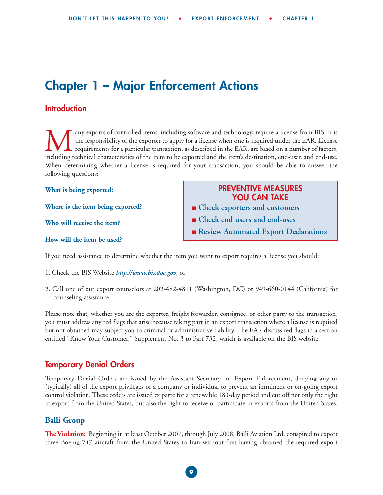### **Chapter 1 – Major Enforcement Actions**

#### **Introduction**

Many exports of controlled items, including software and technology, require a license from BIS. It is<br>the responsibility of the exporter to apply for a license when one is required under the EAR. License<br>including technic the responsibility of the exporter to apply for a license when one is required under the EAR. License requirements for a particular transaction, as described in the EAR, are based on a number of factors, including technical characteristics of the item to be exported and the item's destination, end-user, and end-use. When determining whether a license is required for your transaction, you should be able to answer the following questions:

**What is being exported?** 

**Where is the item being exported?** 

**Who will receive the item?** 

#### **How will the item be used?**

#### **PREVENTIVE MEASURES YOU CAN TAKE**

- **Check exporters and customers**
- **Check end users and end-uses**
- **Review Automated Export Declarations**

If you need assistance to determine whether the item you want to export requires a license you should:

- 1. Check the BIS Website *http://www.bis.doc.gov*, or
- 2. Call one of our export counselors at 202-482-4811 (Washington, DC) or 949-660-0144 (California) for counseling assistance.

Please note that, whether you are the exporter, freight forwarder, consignee, or other party to the transaction, you must address any red flags that arise because taking part in an export transaction where a license is required but not obtained may subject you to criminal or administrative liability. The EAR discuss red flags in a section entitled "Know Your Customer," Supplement No. 3 to Part 732, which is available on the BIS website.

#### **Temporary Denial Orders**

Temporary Denial Orders are issued by the Assistant Secretary for Export Enforcement, denying any or (typically) all of the export privileges of a company or individual to prevent an imminent or on-going export control violation. These orders are issued ex parte for a renewable 180-day period and cut off not only the right to export from the United States, but also the right to receive or participate in exports from the United States.

#### **Balli Group**

**The Violation:** Beginning in at least October 2007, through July 2008, Balli Aviation Ltd. conspired to export three Boeing 747 aircraft from the United States to Iran without first having obtained the required export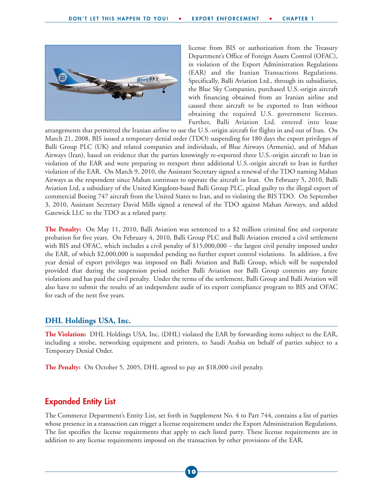

license from BIS or authorization from the Treasury Department's Office of Foreign Assets Control (OFAC), in violation of the Export Administration Regulations (EAR) and the Iranian Transactions Regulations. Specifically, Balli Aviation Ltd., through its subsidiaries, the Blue Sky Companies, purchased U.S.-origin aircraft with financing obtained from an Iranian airline and caused these aircraft to be exported to Iran without obtaining the required U.S. government licenses. Further, Balli Aviation Ltd. entered into lease

arrangements that permitted the Iranian airline to use the U.S.-origin aircraft for flights in and out of Iran. On March 21, 2008, BIS issued a temporary denial order (TDO) suspending for 180 days the export privileges of Balli Group PLC (UK) and related companies and individuals, of Blue Airways (Armenia), and of Mahan Airways (Iran), based on evidence that the parties knowingly re-exported three U.S.-origin aircraft to Iran in violation of the EAR and were preparing to reexport three additional U.S.-origin aircraft to Iran in further violation of the EAR. On March 9, 2010, the Assistant Secretary signed a renewal of the TDO naming Mahan Airways as the respondent since Mahan continues to operate the aircraft in Iran. On February 5, 2010, Balli Aviation Ltd, a subsidiary of the United Kingdom-based Balli Group PLC, plead guilty to the illegal export of commercial Boeing 747 aircraft from the United States to Iran, and to violating the BIS TDO. On September 3, 2010, Assistant Secretary David Mills signed a renewal of the TDO against Mahan Airways, and added Gatewick LLC to the TDO as a related party.

**The Penalty:** On May 11, 2010, Balli Aviation was sentenced to a \$2 million criminal fine and corporate probation for five years. On February 4, 2010, Balli Group PLC and Balli Aviation entered a civil settlement with BIS and OFAC, which includes a civil penalty of \$15,000,000 – the largest civil penalty imposed under the EAR, of which \$2,000,000 is suspended pending no further export control violations. In addition, a five year denial of export privileges was imposed on Balli Aviation and Balli Group, which will be suspended provided that during the suspension period neither Balli Aviation nor Balli Group commits any future violations and has paid the civil penalty. Under the terms of the settlement, Balli Group and Balli Aviation will also have to submit the results of an independent audit of its export compliance program to BIS and OFAC for each of the next five years.

#### **DHL Holdings USA, Inc.**

**The Violation:** DHL Holdings USA, Inc. (DHL) violated the EAR by forwarding items subject to the EAR, including a strobe, networking equipment and printers, to Saudi Arabia on behalf of parties subject to a Temporary Denial Order.

**The Penalty:** On October 5, 2005, DHL agreed to pay an \$18,000 civil penalty.

#### **Expanded Entity List**

The Commerce Department's Entity List, set forth in Supplement No. 4 to Part 744, contains a list of parties whose presence in a transaction can trigger a license requirement under the Export Administration Regulations. The list specifies the license requirements that apply to each listed party. These license requirements are in addition to any license requirements imposed on the transaction by other provisions of the EAR.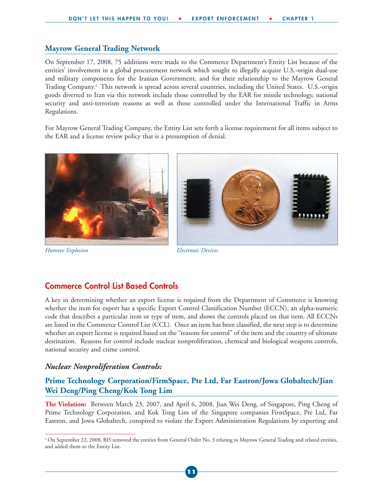#### **Mayrow General Trading Network**

On September 17, 2008, 75 additions were made to the Commerce Department's Entity List because of the entities' involvement in a global procurement network which sought to illegally acquire U.S.-origin dual-use and military components for the Iranian Government, and for their relationship to the Mayrow General Trading Company.4 This network is spread across several countries, including the United States. U.S.-origin goods diverted to Iran via this network include those controlled by the EAR for missile technology, national security and anti-terrorism reasons as well as those controlled under the International Traffic in Arms Regulations.

For Mayrow General Trading Company, the Entity List sets forth a license requirement for all items subject to the EAR and a license review policy that is a presumption of denial.



*Humvee Explosion Electronic Devices*

#### **Commerce Control List Based Controls**

A key in determining whether an export license is required from the Department of Commerce is knowing whether the item for export has a specific Export Control Classification Number (ECCN), an alpha-numeric code that describes a particular item or type of item, and shows the controls placed on that item. All ECCNs are listed in the Commerce Control List (CCL). Once an item has been classified, the next step is to determine whether an export license is required based on the "reasons for control" of the item and the country of ultimate destination. Reasons for control include nuclear nonproliferation, chemical and biological weapons controls, national security and crime control.

#### *Nuclear Nonproliferation Controls:*

#### **Prime Technology Corporation/FirmSpace, Pte Ltd, Far Eastron/Jowa Globaltech/Jian Wei Deng/Ping Cheng/Kok Tong Lim**

**The Violation:** Between March 23, 2007, and April 6, 2008, Jian Wei Deng, of Singapore, Ping Cheng of Prime Technology Corporation, and Kok Tong Lim of the Singapore companies FirmSpace, Pte Ltd, Far Eastron, and Jowa Globaltech, conspired to violate the Export Administration Regulations by exporting and

<sup>4</sup> On September 22, 2008, BIS removed the entities from General Order No. 3 relating to Mayrow General Trading and related entities, and added them to the Entity List.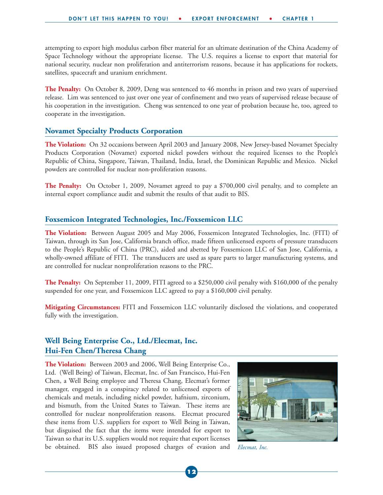attempting to export high modulus carbon fiber material for an ultimate destination of the China Academy of Space Technology without the appropriate license. The U.S. requires a license to export that material for national security, nuclear non proliferation and antiterrorism reasons, because it has applications for rockets, satellites, spacecraft and uranium enrichment.

**The Penalty:** On October 8, 2009, Deng was sentenced to 46 months in prison and two years of supervised release. Lim was sentenced to just over one year of confinement and two years of supervised release because of his cooperation in the investigation. Cheng was sentenced to one year of probation because he, too, agreed to cooperate in the investigation.

#### **Novamet Specialty Products Corporation**

**The Violation:** On 32 occasions between April 2003 and January 2008, New Jersey-based Novamet Specialty Products Corporation (Novamet) exported nickel powders without the required licenses to the People's Republic of China, Singapore, Taiwan, Thailand, India, Israel, the Dominican Republic and Mexico. Nickel powders are controlled for nuclear non-proliferation reasons.

**The Penalty:** On October 1, 2009, Novamet agreed to pay a \$700,000 civil penalty, and to complete an internal export compliance audit and submit the results of that audit to BIS.

#### **Foxsemicon Integrated Technologies, Inc./Foxsemicon LLC**

**The Violation:** Between August 2005 and May 2006, Foxsemicon Integrated Technologies, Inc. (FITI) of Taiwan, through its San Jose, California branch office, made fifteen unlicensed exports of pressure transducers to the People's Republic of China (PRC), aided and abetted by Foxsemicon LLC of San Jose, California, a wholly-owned affiliate of FITI. The transducers are used as spare parts to larger manufacturing systems, and are controlled for nuclear nonproliferation reasons to the PRC.

**The Penalty:** On September 11, 2009, FITI agreed to a \$250,000 civil penalty with \$160,000 of the penalty suspended for one year, and Foxsemicon LLC agreed to pay a \$160,000 civil penalty.

**Mitigating Circumstances:** FITI and Foxsemicon LLC voluntarily disclosed the violations, and cooperated fully with the investigation.

#### **Well Being Enterprise Co., Ltd./Elecmat, Inc. Hui-Fen Chen/Theresa Chang**

**The Violation:** Between 2003 and 2006, Well Being Enterprise Co., Ltd. (Well Being) of Taiwan, Elecmat, Inc. of San Francisco, Hui-Fen Chen, a Well Being employee and Theresa Chang, Elecmat's former manager, engaged in a conspiracy related to unlicensed exports of chemicals and metals, including nickel powder, hafnium, zirconium, and bismuth, from the United States to Taiwan. These items are controlled for nuclear nonproliferation reasons. Elecmat procured these items from U.S. suppliers for export to Well Being in Taiwan, but disguised the fact that the items were intended for export to Taiwan so that its U.S. suppliers would not require that export licenses be obtained. BIS also issued proposed charges of evasion and



*Elecmat, Inc.*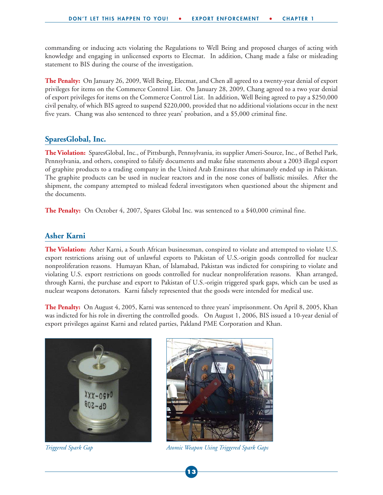commanding or inducing acts violating the Regulations to Well Being and proposed charges of acting with knowledge and engaging in unlicensed exports to Elecmat. In addition, Chang made a false or misleading statement to BIS during the course of the investigation.

**The Penalty:** On January 26, 2009, Well Being, Elecmat, and Chen all agreed to a twenty-year denial of export privileges for items on the Commerce Control List. On January 28, 2009, Chang agreed to a two year denial of export privileges for items on the Commerce Control List. In addition, Well Being agreed to pay a \$250,000 civil penalty, of which BIS agreed to suspend \$220,000, provided that no additional violations occur in the next five years. Chang was also sentenced to three years' probation, and a \$5,000 criminal fine.

#### **SparesGlobal, Inc.**

**The Violation:** SparesGlobal, Inc., of Pittsburgh, Pennsylvania, its supplier Ameri-Source, Inc., of Bethel Park, Pennsylvania, and others, conspired to falsify documents and make false statements about a 2003 illegal export of graphite products to a trading company in the United Arab Emirates that ultimately ended up in Pakistan. The graphite products can be used in nuclear reactors and in the nose cones of ballistic missiles. After the shipment, the company attempted to mislead federal investigators when questioned about the shipment and the documents.

The Penalty: On October 4, 2007, Spares Global Inc. was sentenced to a \$40,000 criminal fine.

#### **Asher Karni**

**The Violation:** Asher Karni, a South African businessman, conspired to violate and attempted to violate U.S. export restrictions arising out of unlawful exports to Pakistan of U.S.-origin goods controlled for nuclear nonproliferation reasons. Humayan Khan, of Islamabad, Pakistan was indicted for conspiring to violate and violating U.S. export restrictions on goods controlled for nuclear nonproliferation reasons. Khan arranged, through Karni, the purchase and export to Pakistan of U.S.-origin triggered spark gaps, which can be used as nuclear weapons detonators. Karni falsely represented that the goods were intended for medical use.

**The Penalty:** On August 4, 2005, Karni was sentenced to three years' imprisonment. On April 8, 2005, Khan was indicted for his role in diverting the controlled goods. On August 1, 2006, BIS issued a 10-year denial of export privileges against Karni and related parties, Pakland PME Corporation and Khan.





*Triggered Spark Gap Atomic Weapon Using Triggered Spark Gaps*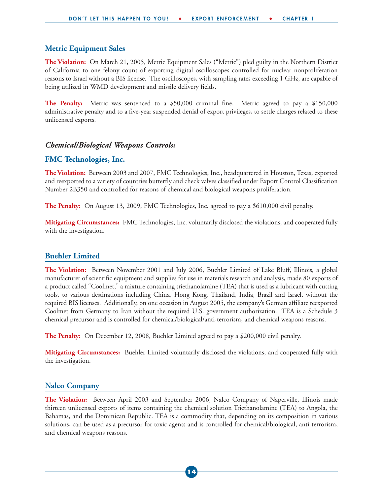#### **Metric Equipment Sales**

**The Violation:** On March 21, 2005, Metric Equipment Sales ("Metric") pled guilty in the Northern District of California to one felony count of exporting digital oscilloscopes controlled for nuclear nonproliferation reasons to Israel without a BIS license. The oscilloscopes, with sampling rates exceeding 1 GHz, are capable of being utilized in WMD development and missile delivery fields.

**The Penalty:** Metric was sentenced to a \$50,000 criminal fine. Metric agreed to pay a \$150,000 administrative penalty and to a five-year suspended denial of export privileges, to settle charges related to these unlicensed exports.

#### *Chemical/Biological Weapons Controls:*

#### **FMC Technologies, Inc.**

**The Violation:** Between 2003 and 2007, FMC Technologies, Inc., headquartered in Houston, Texas, exported and reexported to a variety of countries butterfly and check valves classified under Export Control Classification Number 2B350 and controlled for reasons of chemical and biological weapons proliferation.

**The Penalty:** On August 13, 2009, FMC Technologies, Inc. agreed to pay a \$610,000 civil penalty.

**Mitigating Circumstances:** FMC Technologies, Inc. voluntarily disclosed the violations, and cooperated fully with the investigation.

#### **Buehler Limited**

**The Violation:** Between November 2001 and July 2006, Buehler Limited of Lake Bluff, Illinois, a global manufacturer of scientific equipment and supplies for use in materials research and analysis, made 80 exports of a product called "Coolmet," a mixture containing triethanolamine (TEA) that is used as a lubricant with cutting tools, to various destinations including China, Hong Kong, Thailand, India, Brazil and Israel, without the required BIS licenses. Additionally, on one occasion in August 2005, the company's German affiliate reexported Coolmet from Germany to Iran without the required U.S. government authorization. TEA is a Schedule 3 chemical precursor and is controlled for chemical/biological/anti-terrorism, and chemical weapons reasons.

**The Penalty:** On December 12, 2008, Buehler Limited agreed to pay a \$200,000 civil penalty.

**Mitigating Circumstances:** Buehler Limited voluntarily disclosed the violations, and cooperated fully with the investigation.

#### **Nalco Company**

**The Violation:** Between April 2003 and September 2006, Nalco Company of Naperville, Illinois made thirteen unlicensed exports of items containing the chemical solution Triethanolamine (TEA) to Angola, the Bahamas, and the Dominican Republic. TEA is a commodity that, depending on its composition in various solutions, can be used as a precursor for toxic agents and is controlled for chemical/biological, anti-terrorism, and chemical weapons reasons.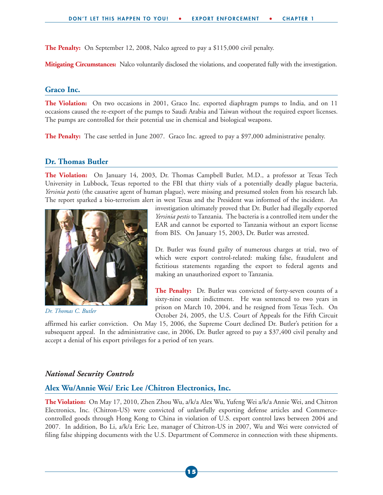**The Penalty:** On September 12, 2008, Nalco agreed to pay a \$115,000 civil penalty.

**Mitigating Circumstances:** Nalco voluntarily disclosed the violations, and cooperated fully with the investigation.

#### **Graco Inc.**

**The Violation:** On two occasions in 2001, Graco Inc. exported diaphragm pumps to India, and on 11 occasions caused the re-export of the pumps to Saudi Arabia and Taiwan without the required export licenses. The pumps are controlled for their potential use in chemical and biological weapons.

**The Penalty:** The case settled in June 2007. Graco Inc. agreed to pay a \$97,000 administrative penalty.

#### **Dr. Thomas Butler**

**The Violation:** On January 14, 2003, Dr. Thomas Campbell Butler, M.D., a professor at Texas Tech University in Lubbock, Texas reported to the FBI that thirty vials of a potentially deadly plague bacteria, *Yersinia pestis* (the causative agent of human plague), were missing and presumed stolen from his research lab. The report sparked a bio-terrorism alert in west Texas and the President was informed of the incident. An



*Dr. Thomas C. Butler*

investigation ultimately proved that Dr. Butler had illegally exported *Yersinia pestis* to Tanzania. The bacteria is a controlled item under the EAR and cannot be exported to Tanzania without an export license from BIS. On January 15, 2003, Dr. Butler was arrested.

Dr. Butler was found guilty of numerous charges at trial, two of which were export control-related: making false, fraudulent and fictitious statements regarding the export to federal agents and making an unauthorized export to Tanzania.

**The Penalty:** Dr. Butler was convicted of forty-seven counts of a sixty-nine count indictment. He was sentenced to two years in prison on March 10, 2004, and he resigned from Texas Tech. On October 24, 2005, the U.S. Court of Appeals for the Fifth Circuit

affirmed his earlier conviction. On May 15, 2006, the Supreme Court declined Dr. Butler's petition for a subsequent appeal. In the administrative case, in 2006, Dr. Butler agreed to pay a \$37,400 civil penalty and accept a denial of his export privileges for a period of ten years.

#### *National Security Controls*

#### **Alex Wu/Annie Wei/ Eric Lee /Chitron Electronics, Inc.**

**The Violation:** On May 17, 2010, Zhen Zhou Wu, a/k/a Alex Wu, Yufeng Wei a/k/a Annie Wei, and Chitron Electronics, Inc. (Chitron-US) were convicted of unlawfully exporting defense articles and Commercecontrolled goods through Hong Kong to China in violation of U.S. export control laws between 2004 and 2007. In addition, Bo Li, a/k/a Eric Lee, manager of Chitron-US in 2007, Wu and Wei were convicted of filing false shipping documents with the U.S. Department of Commerce in connection with these shipments.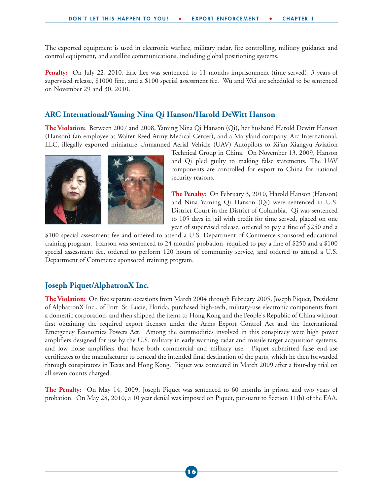The exported equipment is used in electronic warfare, military radar, fire controlling, military guidance and control equipment, and satellite communications, including global positioning systems.

Penalty: On July 22, 2010, Eric Lee was sentenced to 11 months imprisonment (time served), 3 years of supervised release, \$1000 fine, and a \$100 special assessment fee. Wu and Wei are scheduled to be sentenced on November 29 and 30, 2010.

#### **ARC International/Yaming Nina Qi Hanson/Harold DeWitt Hanson**

**The Violation:** Between 2007 and 2008, Yaming Nina Qi Hanson (Qi), her husband Harold Dewitt Hanson (Hanson) (an employee at Walter Reed Army Medical Center), and a Maryland company, Arc International, LLC, illegally exported miniature Unmanned Aerial Vehicle (UAV) Autopilots to Xi'an Xiangyu Aviation



Technical Group in China. On November 13, 2009, Hanson and Qi pled guilty to making false statements. The UAV components are controlled for export to China for national security reasons.

**The Penalty:** On February 3, 2010, Harold Hanson (Hanson) and Nina Yaming Qi Hanson (Qi) were sentenced in U.S. District Court in the District of Columbia. Qi was sentenced to 105 days in jail with credit for time served, placed on one year of supervised release, ordered to pay a fine of \$250 and a

\$100 special assessment fee and ordered to attend a U.S. Department of Commerce sponsored educational training program. Hanson was sentenced to 24 months' probation, required to pay a fine of \$250 and a \$100 special assessment fee, ordered to perform 120 hours of community service, and ordered to attend a U.S. Department of Commerce sponsored training program.

#### **Joseph Piquet/AlphatronX Inc.**

**The Violation:** On five separate occasions from March 2004 through February 2005, Joseph Piquet, President of AlphatronX Inc., of Port St. Lucie, Florida, purchased high-tech, military-use electronic components from a domestic corporation, and then shipped the items to Hong Kong and the People's Republic of China without first obtaining the required export licenses under the Arms Export Control Act and the International Emergency Economics Powers Act. Among the commodities involved in this conspiracy were high power amplifiers designed for use by the U.S. military in early warning radar and missile target acquisition systems, and low noise amplifiers that have both commercial and military use. Piquet submitted false end-use certificates to the manufacturer to conceal the intended final destination of the parts, which he then forwarded through conspirators in Texas and Hong Kong. Piquet was convicted in March 2009 after a four-day trial on all seven counts charged.

**The Penalty:** On May 14, 2009, Joseph Piquet was sentenced to 60 months in prison and two years of probation. On May 28, 2010, a 10 year denial was imposed on Piquet, pursuant to Section 11(h) of the EAA.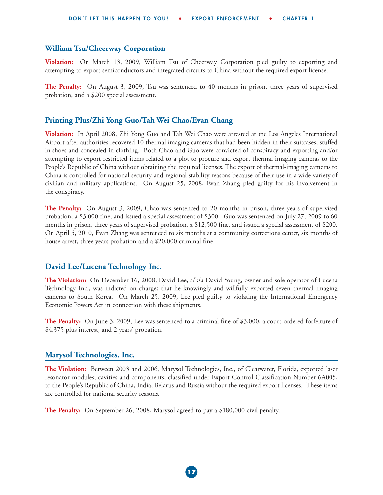#### **William Tsu/Cheerway Corporation**

**Violation:** On March 13, 2009, William Tsu of Cheerway Corporation pled guilty to exporting and attempting to export semiconductors and integrated circuits to China without the required export license.

**The Penalty:** On August 3, 2009, Tsu was sentenced to 40 months in prison, three years of supervised probation, and a \$200 special assessment.

#### **Printing Plus/Zhi Yong Guo/Tah Wei Chao/Evan Chang**

**Violation:** In April 2008, Zhi Yong Guo and Tah Wei Chao were arrested at the Los Angeles International Airport after authorities recovered 10 thermal imaging cameras that had been hidden in their suitcases, stuffed in shoes and concealed in clothing. Both Chao and Guo were convicted of conspiracy and exporting and/or attempting to export restricted items related to a plot to procure and export thermal imaging cameras to the People's Republic of China without obtaining the required licenses. The export of thermal-imaging cameras to China is controlled for national security and regional stability reasons because of their use in a wide variety of civilian and military applications. On August 25, 2008, Evan Zhang pled guilty for his involvement in the conspiracy.

**The Penalty:** On August 3, 2009, Chao was sentenced to 20 months in prison, three years of supervised probation, a \$3,000 fine, and issued a special assessment of \$300. Guo was sentenced on July 27, 2009 to 60 months in prison, three years of supervised probation, a \$12,500 fine, and issued a special assessment of \$200. On April 5, 2010, Evan Zhang was sentenced to six months at a community corrections center, six months of house arrest, three years probation and a \$20,000 criminal fine.

#### **David Lee/Lucena Technology Inc.**

**The Violation:** On December 16, 2008, David Lee, a/k/a David Young, owner and sole operator of Lucena Technology Inc., was indicted on charges that he knowingly and willfully exported seven thermal imaging cameras to South Korea. On March 25, 2009, Lee pled guilty to violating the International Emergency Economic Powers Act in connection with these shipments.

**The Penalty:** On June 3, 2009, Lee was sentenced to a criminal fine of \$3,000, a court-ordered forfeiture of \$4,375 plus interest, and 2 years' probation.

#### **Marysol Technologies, Inc.**

**The Violation:** Between 2003 and 2006, Marysol Technologies, Inc., of Clearwater, Florida, exported laser resonator modules, cavities and components, classified under Export Control Classification Number 6A005, to the People's Republic of China, India, Belarus and Russia without the required export licenses. These items are controlled for national security reasons.

**The Penalty:** On September 26, 2008, Marysol agreed to pay a \$180,000 civil penalty.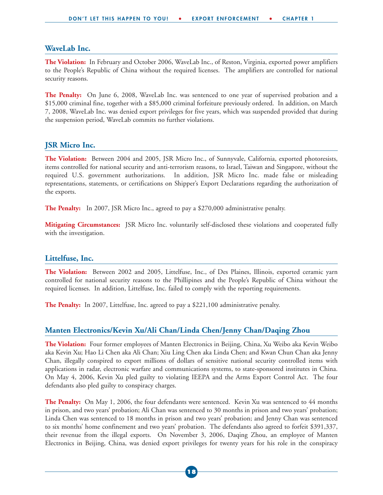#### **WaveLab Inc.**

**The Violation:** In February and October 2006, WaveLab Inc., of Reston, Virginia, exported power amplifiers to the People's Republic of China without the required licenses. The amplifiers are controlled for national security reasons.

**The Penalty:** On June 6, 2008, WaveLab Inc. was sentenced to one year of supervised probation and a \$15,000 criminal fine, together with a \$85,000 criminal forfeiture previously ordered. In addition, on March 7, 2008, WaveLab Inc. was denied export privileges for five years, which was suspended provided that during the suspension period, WaveLab commits no further violations.

#### **JSR Micro Inc.**

**The Violation:** Between 2004 and 2005, JSR Micro Inc., of Sunnyvale, California, exported photoresists, items controlled for national security and anti-terrorism reasons, to Israel, Taiwan and Singapore, without the required U.S. government authorizations. In addition, JSR Micro Inc. made false or misleading representations, statements, or certifications on Shipper's Export Declarations regarding the authorization of the exports.

**The Penalty:** In 2007, JSR Micro Inc., agreed to pay a \$270,000 administrative penalty.

**Mitigating Circumstances:** JSR Micro Inc. voluntarily self-disclosed these violations and cooperated fully with the investigation.

#### **Littelfuse, Inc.**

**The Violation:** Between 2002 and 2005, Littelfuse, Inc., of Des Plaines, Illinois, exported ceramic yarn controlled for national security reasons to the Phillipines and the People's Republic of China without the required licenses. In addition, Littelfuse, Inc. failed to comply with the reporting requirements.

**The Penalty:** In 2007, Littelfuse, Inc. agreed to pay a \$221,100 administrative penalty.

#### **Manten Electronics/Kevin Xu/Ali Chan/Linda Chen/Jenny Chan/Daqing Zhou**

**The Violation:** Four former employees of Manten Electronics in Beijing, China, Xu Weibo aka Kevin Weibo aka Kevin Xu; Hao Li Chen aka Ali Chan; Xiu Ling Chen aka Linda Chen; and Kwan Chun Chan aka Jenny Chan, illegally conspired to export millions of dollars of sensitive national security controlled items with applications in radar, electronic warfare and communications systems, to state-sponsored institutes in China. On May 4, 2006, Kevin Xu pled guilty to violating IEEPA and the Arms Export Control Act. The four defendants also pled guilty to conspiracy charges.

**The Penalty:** On May 1, 2006, the four defendants were sentenced. Kevin Xu was sentenced to 44 months in prison, and two years' probation; Ali Chan was sentenced to 30 months in prison and two years' probation; Linda Chen was sentenced to 18 months in prison and two years' probation; and Jenny Chan was sentenced to six months' home confinement and two years' probation. The defendants also agreed to forfeit \$391,337, their revenue from the illegal exports. On November 3, 2006, Daqing Zhou, an employee of Manten Electronics in Beijing, China, was denied export privileges for twenty years for his role in the conspiracy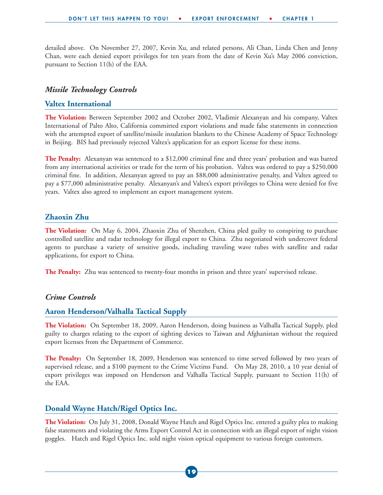detailed above. On November 27, 2007, Kevin Xu, and related persons, Ali Chan, Linda Chen and Jenny Chan, were each denied export privileges for ten years from the date of Kevin Xu's May 2006 conviction, pursuant to Section 11(h) of the EAA.

#### *Missile Technology Controls*

#### **Valtex International**

**The Violation:** Between September 2002 and October 2002, Vladimir Alexanyan and his company, Valtex International of Palto Alto, California committed export violations and made false statements in connection with the attempted export of satellite/missile insulation blankets to the Chinese Academy of Space Technology in Beijing. BIS had previously rejected Valtex's application for an export license for these items.

**The Penalty:** Alexanyan was sentenced to a \$12,000 criminal fine and three years' probation and was barred from any international activities or trade for the term of his probation. Valtex was ordered to pay a \$250,000 criminal fine. In addition, Alexanyan agreed to pay an \$88,000 administrative penalty, and Valtex agreed to pay a \$77,000 administrative penalty. Alexanyan's and Valtex's export privileges to China were denied for five years. Valtex also agreed to implement an export management system.

#### **Zhaoxin Zhu**

**The Violation:** On May 6, 2004, Zhaoxin Zhu of Shenzhen, China pled guilty to conspiring to purchase controlled satellite and radar technology for illegal export to China. Zhu negotiated with undercover federal agents to purchase a variety of sensitive goods, including traveling wave tubes with satellite and radar applications, for export to China.

**The Penalty:** Zhu was sentenced to twenty-four months in prison and three years' supervised release.

#### *Crime Controls*

#### **Aaron Henderson/Valhalla Tactical Supply**

**The Violation:** On September 18, 2009, Aaron Henderson, doing business as Valhalla Tactical Supply, pled guilty to charges relating to the export of sighting devices to Taiwan and Afghanistan without the required export licenses from the Department of Commerce.

**The Penalty:** On September 18, 2009, Henderson was sentenced to time served followed by two years of supervised release, and a \$100 payment to the Crime Victims Fund. On May 28, 2010, a 10 year denial of export privileges was imposed on Henderson and Valhalla Tactical Supply, pursuant to Section 11(h) of the EAA.

#### **Donald Wayne Hatch/Rigel Optics Inc.**

**The Violation:** On July 31, 2008, Donald Wayne Hatch and Rigel Optics Inc. entered a guilty plea to making false statements and violating the Arms Export Control Act in connection with an illegal export of night vision goggles. Hatch and Rigel Optics Inc. sold night vision optical equipment to various foreign customers.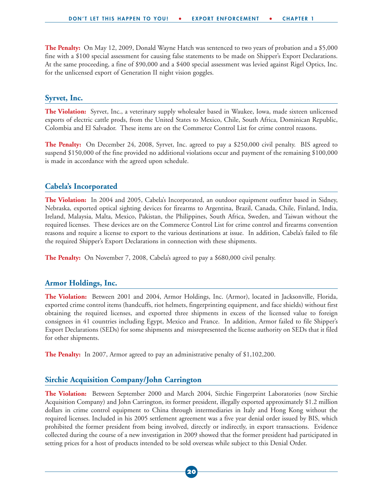**The Penalty:** On May 12, 2009, Donald Wayne Hatch was sentenced to two years of probation and a \$5,000 fine with a \$100 special assessment for causing false statements to be made on Shipper's Export Declarations. At the same proceeding, a fine of \$90,000 and a \$400 special assessment was levied against Rigel Optics, Inc. for the unlicensed export of Generation II night vision goggles.

#### **Syrvet, Inc.**

**The Violation:** Syrvet, Inc., a veterinary supply wholesaler based in Waukee, Iowa, made sixteen unlicensed exports of electric cattle prods, from the United States to Mexico, Chile, South Africa, Dominican Republic, Colombia and El Salvador. These items are on the Commerce Control List for crime control reasons.

**The Penalty:** On December 24, 2008, Syrvet, Inc. agreed to pay a \$250,000 civil penalty. BIS agreed to suspend \$150,000 of the fine provided no additional violations occur and payment of the remaining \$100,000 is made in accordance with the agreed upon schedule.

#### **Cabela's Incorporated**

**The Violation:** In 2004 and 2005, Cabela's Incorporated, an outdoor equipment outfitter based in Sidney, Nebraska, exported optical sighting devices for firearms to Argentina, Brazil, Canada, Chile, Finland, India, Ireland, Malaysia, Malta, Mexico, Pakistan, the Philippines, South Africa, Sweden, and Taiwan without the required licenses. These devices are on the Commerce Control List for crime control and firearms convention reasons and require a license to export to the various destinations at issue. In addition, Cabela's failed to file the required Shipper's Export Declarations in connection with these shipments.

**The Penalty:** On November 7, 2008, Cabela's agreed to pay a \$680,000 civil penalty.

#### **Armor Holdings, Inc.**

**The Violation:** Between 2001 and 2004, Armor Holdings, Inc. (Armor), located in Jacksonville, Florida, exported crime control items (handcuffs, riot helmets, fingerprinting equipment, and face shields) without first obtaining the required licenses, and exported three shipments in excess of the licensed value to foreign consignees in 41 countries including Egypt, Mexico and France. In addition, Armor failed to file Shipper's Export Declarations (SEDs) for some shipments and misrepresented the license authority on SEDs that it filed for other shipments.

**The Penalty:** In 2007, Armor agreed to pay an administrative penalty of \$1,102,200.

#### **Sirchie Acquisition Company/John Carrington**

**The Violation:** Between September 2000 and March 2004, Sirchie Fingerprint Laboratories (now Sirchie Acquisition Company) and John Carrington, its former president, illegally exported approximately \$1.2 million dollars in crime control equipment to China through intermediaries in Italy and Hong Kong without the required licenses. Included in his 2005 settlement agreement was a five year denial order issued by BIS, which prohibited the former president from being involved, directly or indirectly, in export transactions. Evidence collected during the course of a new investigation in 2009 showed that the former president had participated in setting prices for a host of products intended to be sold overseas while subject to this Denial Order.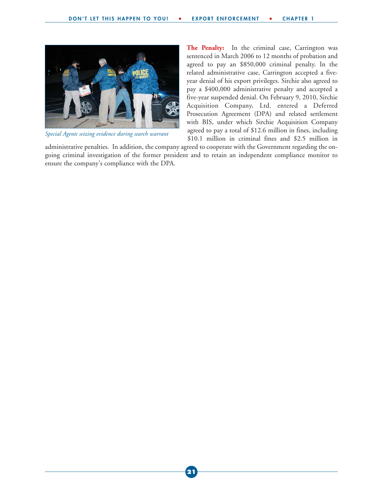

*Special Agents seizing evidence during search warrant*

**The Penalty:** In the criminal case, Carrington was sentenced in March 2006 to 12 months of probation and agreed to pay an \$850,000 criminal penalty. In the related administrative case, Carrington accepted a fiveyear denial of his export privileges. Sirchie also agreed to pay a \$400,000 administrative penalty and accepted a five-year suspended denial. On February 9, 2010, Sirchie Acquisition Company, Ltd. entered a Deferred Prosecution Agreement (DPA) and related settlement with BIS, under which Sirchie Acquisition Company agreed to pay a total of \$12.6 million in fines, including \$10.1 million in criminal fines and \$2.5 million in

administrative penalties. In addition, the company agreed to cooperate with the Government regarding the ongoing criminal investigation of the former president and to retain an independent compliance monitor to ensure the company's compliance with the DPA.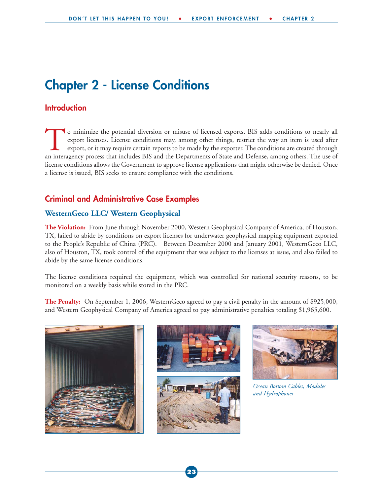### **Chapter 2 - License Conditions**

#### **Introduction**

To minimize the potential diversion or misuse of licensed exports, BIS adds conditions to nearly all export licenses. License conditions may, among other things, restrict the way an item is used after export, or it may req export licenses. License conditions may, among other things, restrict the way an item is used after export, or it may require certain reports to be made by the exporter. The conditions are created through license conditions allows the Government to approve license applications that might otherwise be denied. Once a license is issued, BIS seeks to ensure compliance with the conditions.

#### **Criminal and Administrative Case Examples**

#### **WesternGeco LLC/ Western Geophysical**

**The Violation:** From June through November 2000, Western Geophysical Company of America, of Houston, TX, failed to abide by conditions on export licenses for underwater geophysical mapping equipment exported to the People's Republic of China (PRC). Between December 2000 and January 2001, WesternGeco LLC, also of Houston, TX, took control of the equipment that was subject to the licenses at issue, and also failed to abide by the same license conditions.

The license conditions required the equipment, which was controlled for national security reasons, to be monitored on a weekly basis while stored in the PRC.

**The Penalty:** On September 1, 2006, WesternGeco agreed to pay a civil penalty in the amount of \$925,000, and Western Geophysical Company of America agreed to pay administrative penalties totaling \$1,965,600.









*Ocean Bottom Cables, Modules and Hydrophones*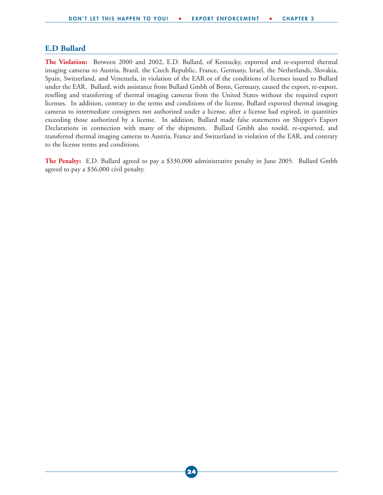#### **E.D Bullard**

**The Violation:** Between 2000 and 2002, E.D. Bullard, of Kentucky, exported and re-exported thermal imaging cameras to Austria, Brazil, the Czech Republic, France, Germany, Israel, the Netherlands, Slovakia, Spain, Switzerland, and Venezuela, in violation of the EAR or of the conditions of licenses issued to Bullard under the EAR. Bullard, with assistance from Bullard Gmbh of Bonn, Germany, caused the export, re-export, reselling and transferring of thermal imaging cameras from the United States without the required export licenses. In addition, contrary to the terms and conditions of the license, Bullard exported thermal imaging cameras to intermediate consignees not authorized under a license, after a license had expired, in quantities exceeding those authorized by a license. In addition, Bullard made false statements on Shipper's Export Declarations in connection with many of the shipments. Bullard Gmbh also resold, re-exported, and transferred thermal imaging cameras to Austria, France and Switzerland in violation of the EAR, and contrary to the license terms and conditions.

**The Penalty:** E.D. Bullard agreed to pay a \$330,000 administrative penalty in June 2005. Bullard Gmbh agreed to pay a \$36,000 civil penalty.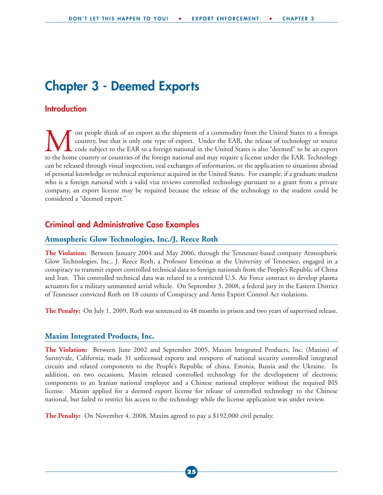### **Chapter 3 - Deemed Exports**

#### **Introduction**

**M** ost people think of an export as the shipment of a commodity from the United States to a foreign country, but that is only one type of export. Under the EAR, the release of technology or source to the home country or c country, but that is only one type of export. Under the EAR, the release of technology or source code subject to the EAR to a foreign national in the United States is also "deemed" to be an export to the home country or countries of the foreign national and may require a license under the EAR. Technology can be released through visual inspection, oral exchanges of information, or the application to situations abroad of personal knowledge or technical experience acquired in the United States. For example, if a graduate student who is a foreign national with a valid visa reviews controlled technology pursuant to a grant from a private company, an export license may be required because the release of the technology to the student could be considered a "deemed export."

#### **Criminal and Administrative Case Examples**

#### **Atmospheric Glow Technologies, Inc./J. Reece Roth**

**The Violation:** Between January 2004 and May 2006, through the Tennessee-based company Atmospheric Glow Technologies, Inc., J. Reece Roth, a Professor Emeritus at the University of Tennessee, engaged in a conspiracy to transmit export controlled technical data to foreign nationals from the People's Republic of China and Iran. This controlled technical data was related to a restricted U.S. Air Force contract to develop plasma actuators for a military unmanned aerial vehicle. On September 3, 2008, a federal jury in the Eastern District of Tennessee convicted Roth on 18 counts of Conspiracy and Arms Export Control Act violations.

**The Penalty:** On July 1, 2009, Roth was sentenced to 48 months in prison and two years of supervised release.

#### **Maxim Integrated Products, Inc.**

**The Violation:** Between June 2002 and September 2005, Maxim Integrated Products, Inc. (Maxim) of Sunnyvale, California, made 31 unlicensed exports and reexports of national security controlled integrated circuits and related components to the People's Republic of china, Estonia, Russia and the Ukraine. In addition, on two occasions, Maxim released controlled technology for the development of electronic components to an Iranian national employee and a Chinese national employee without the required BIS license. Maxim applied for a deemed export license for release of controlled technology to the Chinese national, but failed to restrict his access to the technology while the license application was under review.

**The Penalty:** On November 4, 2008, Maxim agreed to pay a \$192,000 civil penalty.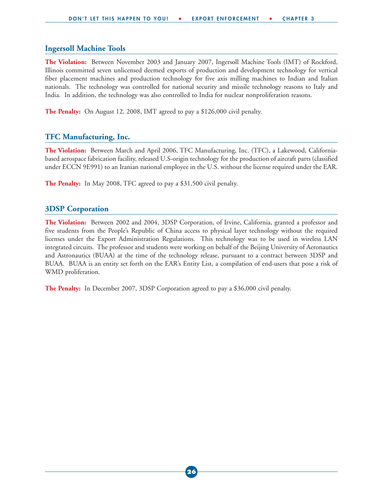#### **Ingersoll Machine Tools**

**The Violation:** Between November 2003 and January 2007, Ingersoll Machine Tools (IMT) of Rockford, Illinois committed seven unlicensed deemed exports of production and development technology for vertical fiber placement machines and production technology for five axis milling machines to Indian and Italian nationals. The technology was controlled for national security and missile technology reasons to Italy and India. In addition, the technology was also controlled to India for nuclear nonproliferation reasons.

**The Penalty:** On August 12, 2008, IMT agreed to pay a \$126,000 civil penalty.

#### **TFC Manufacturing, Inc.**

**The Violation:** Between March and April 2006, TFC Manufacturing, Inc. (TFC), a Lakewood, Californiabased aerospace fabrication facility, released U.S-origin technology for the production of aircraft parts (classified under ECCN 9E991) to an Iranian national employee in the U.S. without the license required under the EAR.

**The Penalty:** In May 2008, TFC agreed to pay a \$31,500 civil penalty.

#### **3DSP Corporation**

**The Violation:** Between 2002 and 2004, 3DSP Corporation, of Irvine, California, granted a professor and five students from the People's Republic of China access to physical layer technology without the required licenses under the Export Administration Regulations. This technology was to be used in wireless LAN integrated circuits. The professor and students were working on behalf of the Beijing University of Aeronautics and Astronautics (BUAA) at the time of the technology release, pursuant to a contract between 3DSP and BUAA. BUAA is an entity set forth on the EAR's Entity List, a compilation of end-users that pose a risk of WMD proliferation.

**The Penalty:** In December 2007, 3DSP Corporation agreed to pay a \$36,000 civil penalty.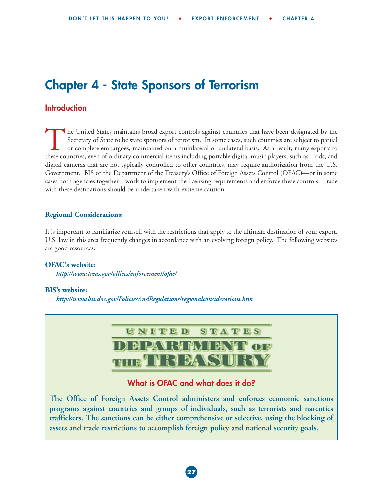### **Chapter 4 - State Sponsors of Terrorism**

#### **Introduction**

The United States maintains broad export controls against countries that have been designated by the Secretary of State to be state sponsors of terrorism. In some cases, such countries are subject to partial or complete em Secretary of State to be state sponsors of terrorism. In some cases, such countries are subject to partial or complete embargoes, maintained on a multilateral or unilateral basis. As a result, many exports to these countries, even of ordinary commercial items including portable digital music players, such as iPods, and digital cameras that are not typically controlled to other countries, may require authorization from the U.S. Government. BIS or the Department of the Treasury's Office of Foreign Assets Control (OFAC)—or in some cases both agencies together—work to implement the licensing requirements and enforce these controls. Trade with these destinations should be undertaken with extreme caution.

#### **Regional Considerations:**

It is important to familiarize yourself with the restrictions that apply to the ultimate destination of your export. U.S. law in this area frequently changes in accordance with an evolving foreign policy. The following websites are good resources:

#### **OFAC's website:**

*http://www.treas.gov/offices/enforcement/ofac/* 

#### **BIS's website:**

*http://www.bis.doc.gov/PoliciesAndRegulations/regionalconsiderations.htm*



**programs against countries and groups of individuals, such as terrorists and narcotics traffickers. The sanctions can be either comprehensive or selective, using the blocking of assets and trade restrictions to accomplish foreign policy and national security goals.**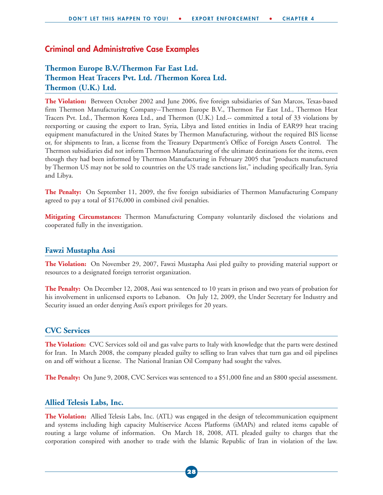#### **Criminal and Administrative Case Examples**

#### **Thermon Europe B.V./Thermon Far East Ltd. Thermon Heat Tracers Pvt. Ltd. /Thermon Korea Ltd. Thermon (U.K.) Ltd.**

**The Violation:** Between October 2002 and June 2006, five foreign subsidiaries of San Marcos, Texas-based firm Thermon Manufacturing Company--Thermon Europe B.V., Thermon Far East Ltd., Thermon Heat Tracers Pvt. Ltd., Thermon Korea Ltd., and Thermon (U.K.) Ltd.-- committed a total of 33 violations by reexporting or causing the export to Iran, Syria, Libya and listed entities in India of EAR99 heat tracing equipment manufactured in the United States by Thermon Manufacturing, without the required BIS license or, for shipments to Iran, a license from the Treasury Department's Office of Foreign Assets Control. The Thermon subsidiaries did not inform Thermon Manufacturing of the ultimate destinations for the items, even though they had been informed by Thermon Manufacturing in February 2005 that "products manufactured by Thermon US may not be sold to countries on the US trade sanctions list," including specifically Iran, Syria and Libya.

**The Penalty:** On September 11, 2009, the five foreign subsidiaries of Thermon Manufacturing Company agreed to pay a total of \$176,000 in combined civil penalties.

**Mitigating Circumstances:** Thermon Manufacturing Company voluntarily disclosed the violations and cooperated fully in the investigation.

#### **Fawzi Mustapha Assi**

**The Violation:** On November 29, 2007, Fawzi Mustapha Assi pled guilty to providing material support or resources to a designated foreign terrorist organization.

**The Penalty:** On December 12, 2008, Assi was sentenced to 10 years in prison and two years of probation for his involvement in unlicensed exports to Lebanon. On July 12, 2009, the Under Secretary for Industry and Security issued an order denying Assi's export privileges for 20 years.

#### **CVC Services**

**The Violation:** CVC Services sold oil and gas valve parts to Italy with knowledge that the parts were destined for Iran. In March 2008, the company pleaded guilty to selling to Iran valves that turn gas and oil pipelines on and off without a license. The National Iranian Oil Company had sought the valves.

**The Penalty:** On June 9, 2008, CVC Services was sentenced to a \$51,000 fine and an \$800 special assessment.

#### **Allied Telesis Labs, Inc.**

**The Violation:** Allied Telesis Labs, Inc. (ATL) was engaged in the design of telecommunication equipment and systems including high capacity Multiservice Access Platforms (iMAPs) and related items capable of routing a large volume of information. On March 18, 2008, ATL pleaded guilty to charges that the corporation conspired with another to trade with the Islamic Republic of Iran in violation of the law.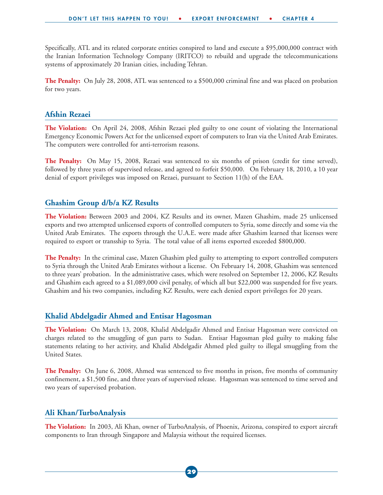Specifically, ATL and its related corporate entities conspired to land and execute a \$95,000,000 contract with the Iranian Information Technology Company (IRITCO) to rebuild and upgrade the telecommunications systems of approximately 20 Iranian cities, including Tehran.

**The Penalty:** On July 28, 2008, ATL was sentenced to a \$500,000 criminal fine and was placed on probation for two years.

#### **Afshin Rezaei**

**The Violation:** On April 24, 2008, Afshin Rezaei pled guilty to one count of violating the International Emergency Economic Powers Act for the unlicensed export of computers to Iran via the United Arab Emirates. The computers were controlled for anti-terrorism reasons.

**The Penalty:** On May 15, 2008, Rezaei was sentenced to six months of prison (credit for time served), followed by three years of supervised release, and agreed to forfeit \$50,000. On February 18, 2010, a 10 year denial of export privileges was imposed on Rezaei, pursuant to Section 11(h) of the EAA.

#### **Ghashim Group d/b/a KZ Results**

**The Violation:** Between 2003 and 2004, KZ Results and its owner, Mazen Ghashim, made 25 unlicensed exports and two attempted unlicensed exports of controlled computers to Syria, some directly and some via the United Arab Emirates. The exports through the U.A.E. were made after Ghashim learned that licenses were required to export or transship to Syria. The total value of all items exported exceeded \$800,000.

**The Penalty:** In the criminal case, Mazen Ghashim pled guilty to attempting to export controlled computers to Syria through the United Arab Emirates without a license. On February 14, 2008, Ghashim was sentenced to three years' probation. In the administrative cases, which were resolved on September 12, 2006, KZ Results and Ghashim each agreed to a \$1,089,000 civil penalty, of which all but \$22,000 was suspended for five years. Ghashim and his two companies, including KZ Results, were each denied export privileges for 20 years.

#### **Khalid Abdelgadir Ahmed and Entisar Hagosman**

**The Violation:** On March 13, 2008, Khalid Abdelgadir Ahmed and Entisar Hagosman were convicted on charges related to the smuggling of gun parts to Sudan. Entisar Hagosman pled guilty to making false statements relating to her activity, and Khalid Abdelgadir Ahmed pled guilty to illegal smuggling from the United States.

**The Penalty:** On June 6, 2008, Ahmed was sentenced to five months in prison, five months of community confinement, a \$1,500 fine, and three years of supervised release. Hagosman was sentenced to time served and two years of supervised probation.

#### **Ali Khan/TurboAnalysis**

**The Violation:** In 2003, Ali Khan, owner of TurboAnalysis, of Phoenix, Arizona, conspired to export aircraft components to Iran through Singapore and Malaysia without the required licenses.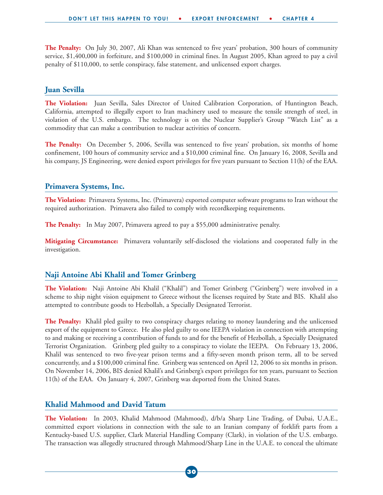**The Penalty:** On July 30, 2007, Ali Khan was sentenced to five years' probation, 300 hours of community service, \$1,400,000 in forfeiture, and \$100,000 in criminal fines. In August 2005, Khan agreed to pay a civil penalty of \$110,000, to settle conspiracy, false statement, and unlicensed export charges.

#### **Juan Sevilla**

**The Violation:** Juan Sevilla, Sales Director of United Calibration Corporation, of Huntington Beach, California, attempted to illegally export to Iran machinery used to measure the tensile strength of steel, in violation of the U.S. embargo. The technology is on the Nuclear Supplier's Group "Watch List" as a commodity that can make a contribution to nuclear activities of concern.

**The Penalty:** On December 5, 2006, Sevilla was sentenced to five years' probation, six months of home confinement, 100 hours of community service and a \$10,000 criminal fine. On January 16, 2008, Sevilla and his company, JS Engineering, were denied export privileges for five years pursuant to Section 11(h) of the EAA.

#### **Primavera Systems, Inc.**

**The Violation:** Primavera Systems, Inc. (Primavera) exported computer software programs to Iran without the required authorization. Primavera also failed to comply with recordkeeping requirements.

**The Penalty:** In May 2007, Primavera agreed to pay a \$55,000 administrative penalty.

**Mitigating Circumstance:** Primavera voluntarily self-disclosed the violations and cooperated fully in the investigation.

#### **Naji Antoine Abi Khalil and Tomer Grinberg**

**The Violation:** Naji Antoine Abi Khalil ("Khalil") and Tomer Grinberg ("Grinberg") were involved in a scheme to ship night vision equipment to Greece without the licenses required by State and BIS. Khalil also attempted to contribute goods to Hezbollah, a Specially Designated Terrorist.

**The Penalty:** Khalil pled guilty to two conspiracy charges relating to money laundering and the unlicensed export of the equipment to Greece. He also pled guilty to one IEEPA violation in connection with attempting to and making or receiving a contribution of funds to and for the benefit of Hezbollah, a Specially Designated Terrorist Organization. Grinberg pled guilty to a conspiracy to violate the IEEPA. On February 13, 2006, Khalil was sentenced to two five-year prison terms and a fifty-seven month prison term, all to be served concurrently, and a \$100,000 criminal fine. Grinberg was sentenced on April 12, 2006 to six months in prison. On November 14, 2006, BIS denied Khalil's and Grinberg's export privileges for ten years, pursuant to Section 11(h) of the EAA. On January 4, 2007, Grinberg was deported from the United States.

#### **Khalid Mahmood and David Tatum**

**The Violation:** In 2003, Khalid Mahmood (Mahmood), d/b/a Sharp Line Trading, of Dubai, U.A.E., committed export violations in connection with the sale to an Iranian company of forklift parts from a Kentucky-based U.S. supplier, Clark Material Handling Company (Clark), in violation of the U.S. embargo. The transaction was allegedly structured through Mahmood/Sharp Line in the U.A.E. to conceal the ultimate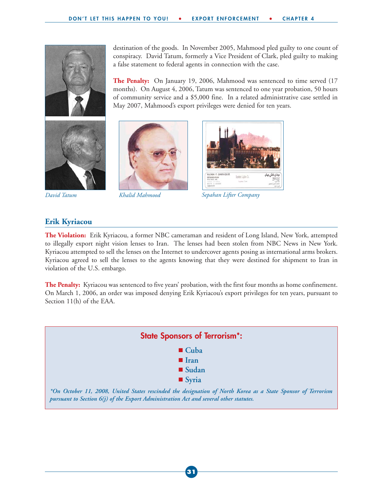a false statement to federal agents in connection with the case.

May 2007, Mahmood's export privileges were denied for ten years.









*David Tatum Khalid Mahmood Sepahan Lifter Company*

destination of the goods. In November 2005, Mahmood pled guilty to one count of conspiracy. David Tatum, formerly a Vice President of Clark, pled guilty to making

**The Penalty:** On January 19, 2006, Mahmood was sentenced to time served (17 months). On August 4, 2006, Tatum was sentenced to one year probation, 50 hours of community service and a \$5,000 fine. In a related administrative case settled in

#### **Erik Kyriacou**

**The Violation:** Erik Kyriacou, a former NBC cameraman and resident of Long Island, New York, attempted to illegally export night vision lenses to Iran. The lenses had been stolen from NBC News in New York. Kyriacou attempted to sell the lenses on the Internet to undercover agents posing as international arms brokers. Kyriacou agreed to sell the lenses to the agents knowing that they were destined for shipment to Iran in violation of the U.S. embargo.

**The Penalty:** Kyriacou was sentenced to five years' probation, with the first four months as home confinement. On March 1, 2006, an order was imposed denying Erik Kyriacou's export privileges for ten years, pursuant to Section 11(h) of the EAA.

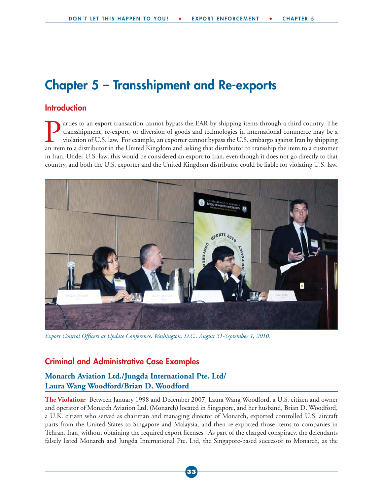### **Chapter 5 – Transshipment and Re-exports**

#### **Introduction**

arties to an export transaction cannot bypass the EAR by shipping items through a third country. The transshipment, re-export, or diversion of goods and technologies in international commerce may be a violation of U.S. law. For example, an exporter cannot bypass the U.S. embargo against Iran by shipping an item to a distributor in the United Kingdom and asking that distributor to transship the item to a customer in Iran. Under U.S. law, this would be considered an export to Iran, even though it does not go directly to that country, and both the U.S. exporter and the United Kingdom distributor could be liable for violating U.S. law.



*Export Control Officers at Update Conference, Washington, D.C., August 31-September 1, 2010.* 

#### **Criminal and Administrative Case Examples**

#### **Monarch Aviation Ltd./Jungda International Pte. Ltd/ Laura Wang Woodford/Brian D. Woodford**

**The Violation:** Between January 1998 and December 2007, Laura Wang Woodford, a U.S. citizen and owner and operator of Monarch Aviation Ltd. (Monarch) located in Singapore, and her husband, Brian D. Woodford, a U.K. citizen who served as chairman and managing director of Monarch, exported controlled U.S. aircraft parts from the United States to Singapore and Malaysia, and then re-exported those items to companies in Tehran, Iran, without obtaining the required export licenses. As part of the charged conspiracy, the defendants falsely listed Monarch and Jungda International Pte. Ltd, the Singapore-based successor to Monarch, as the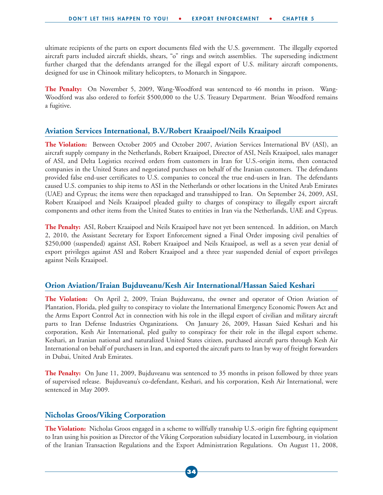ultimate recipients of the parts on export documents filed with the U.S. government. The illegally exported aircraft parts included aircraft shields, shears, "o" rings and switch assemblies. The superseding indictment further charged that the defendants arranged for the illegal export of U.S. military aircraft components, designed for use in Chinook military helicopters, to Monarch in Singapore.

**The Penalty:** On November 5, 2009, Wang-Woodford was sentenced to 46 months in prison. Wang-Woodford was also ordered to forfeit \$500,000 to the U.S. Treasury Department. Brian Woodford remains a fugitive.

#### **Aviation Services International, B.V./Robert Kraaipoel/Neils Kraaipoel**

**The Violation:** Between October 2005 and October 2007, Aviation Services International BV (ASI), an aircraft supply company in the Netherlands, Robert Kraaipoel, Director of ASI, Neils Kraaipoel, sales manager of ASI, and Delta Logistics received orders from customers in Iran for U.S.-origin items, then contacted companies in the United States and negotiated purchases on behalf of the Iranian customers. The defendants provided false end-user certificates to U.S. companies to conceal the true end-users in Iran. The defendants caused U.S. companies to ship items to ASI in the Netherlands or other locations in the United Arab Emirates (UAE) and Cyprus; the items were then repackaged and transshipped to Iran. On September 24, 2009, ASI, Robert Kraaipoel and Neils Kraaipoel pleaded guilty to charges of conspiracy to illegally export aircraft components and other items from the United States to entities in Iran via the Netherlands, UAE and Cyprus.

**The Penalty:** ASI, Robert Kraaipoel and Neils Kraaipoel have not yet been sentenced. In addition, on March 2, 2010, the Assistant Secretary for Export Enforcement signed a Final Order imposing civil penalties of \$250,000 (suspended) against ASI, Robert Kraaipoel and Neils Kraaipoel, as well as a seven year denial of export privileges against ASI and Robert Kraaipoel and a three year suspended denial of export privileges against Neils Kraaipoel.

#### **Orion Aviation/Traian Bujduveanu/Kesh Air International/Hassan Saied Keshari**

**The Violation:** On April 2, 2009, Traian Bujduveanu, the owner and operator of Orion Aviation of Plantation, Florida, pled guilty to conspiracy to violate the International Emergency Economic Powers Act and the Arms Export Control Act in connection with his role in the illegal export of civilian and military aircraft parts to Iran Defense Industries Organizations. On January 26, 2009, Hassan Saied Keshari and his corporation, Kesh Air International, pled guilty to conspiracy for their role in the illegal export scheme. Keshari, an Iranian national and naturalized United States citizen, purchased aircraft parts through Kesh Air International on behalf of purchasers in Iran, and exported the aircraft parts to Iran by way of freight forwarders in Dubai, United Arab Emirates.

**The Penalty:** On June 11, 2009, Bujduveanu was sentenced to 35 months in prison followed by three years of supervised release. Bujduveanu's co-defendant, Keshari, and his corporation, Kesh Air International, were sentenced in May 2009.

#### **Nicholas Groos/Viking Corporation**

**The Violation:** Nicholas Groos engaged in a scheme to willfully transship U.S.-origin fire fighting equipment to Iran using his position as Director of the Viking Corporation subsidiary located in Luxembourg, in violation of the Iranian Transaction Regulations and the Export Administration Regulations. On August 11, 2008,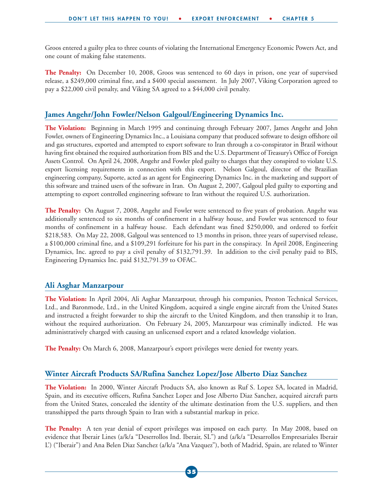Groos entered a guilty plea to three counts of violating the International Emergency Economic Powers Act, and one count of making false statements.

**The Penalty:** On December 10, 2008, Groos was sentenced to 60 days in prison, one year of supervised release, a \$249,000 criminal fine, and a \$400 special assessment. In July 2007, Viking Corporation agreed to pay a \$22,000 civil penalty, and Viking SA agreed to a \$44,000 civil penalty.

#### **James Angehr/John Fowler/Nelson Galgoul/Engineering Dynamics Inc.**

**The Violation:** Beginning in March 1995 and continuing through February 2007, James Angehr and John Fowler, owners of Engineering Dynamics Inc., a Louisiana company that produced software to design offshore oil and gas structures, exported and attempted to export software to Iran through a co-conspirator in Brazil without having first obtained the required authorization from BIS and the U.S. Department of Treasury's Office of Foreign Assets Control. On April 24, 2008, Angehr and Fowler pled guilty to charges that they conspired to violate U.S. export licensing requirements in connection with this export. Nelson Galgoul, director of the Brazilian engineering company, Suporte, acted as an agent for Engineering Dynamics Inc. in the marketing and support of this software and trained users of the software in Iran. On August 2, 2007, Galgoul pled guilty to exporting and attempting to export controlled engineering software to Iran without the required U.S. authorization.

**The Penalty:** On August 7, 2008, Angehr and Fowler were sentenced to five years of probation. Angehr was additionally sentenced to six months of confinement in a halfway house, and Fowler was sentenced to four months of confinement in a halfway house. Each defendant was fined \$250,000, and ordered to forfeit \$218,583. On May 22, 2008, Galgoul was sentenced to 13 months in prison, three years of supervised release, a \$100,000 criminal fine, and a \$109,291 forfeiture for his part in the conspiracy. In April 2008, Engineering Dynamics, Inc. agreed to pay a civil penalty of \$132,791.39. In addition to the civil penalty paid to BIS, Engineering Dynamics Inc. paid \$132,791.39 to OFAC.

#### **Ali Asghar Manzarpour**

**The Violation:** In April 2004, Ali Asghar Manzarpour, through his companies, Preston Technical Services, Ltd., and Baronmode, Ltd., in the United Kingdom, acquired a single engine aircraft from the United States and instructed a freight forwarder to ship the aircraft to the United Kingdom, and then transship it to Iran, without the required authorization. On February 24, 2005, Manzarpour was criminally indicted. He was administratively charged with causing an unlicensed export and a related knowledge violation.

**The Penalty:** On March 6, 2008, Manzarpour's export privileges were denied for twenty years.

#### **Winter Aircraft Products SA/Rufina Sanchez Lopez/Jose Alberto Diaz Sanchez**

**The Violation:** In 2000, Winter Aircraft Products SA, also known as Ruf S. Lopez SA, located in Madrid, Spain, and its executive officers, Rufina Sanchez Lopez and Jose Alberto Diaz Sanchez, acquired aircraft parts from the United States, concealed the identity of the ultimate destination from the U.S. suppliers, and then transshipped the parts through Spain to Iran with a substantial markup in price.

**The Penalty:** A ten year denial of export privileges was imposed on each party. In May 2008, based on evidence that Iberair Lines (a/k/a "Deserrollos Ind. Iberair, SL") and (a/k/a "Desarrollos Empresariales Iberair L') ("Iberair") and Ana Belen Diaz Sanchez (a/k/a "Ana Vazquez"), both of Madrid, Spain, are related to Winter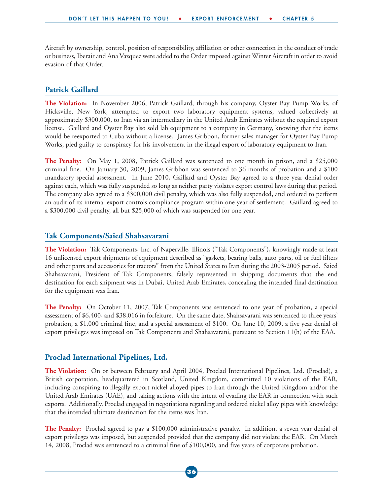Aircraft by ownership, control, position of responsibility, affiliation or other connection in the conduct of trade or business, Iberair and Ana Vazquez were added to the Order imposed against Winter Aircraft in order to avoid evasion of that Order.

#### **Patrick Gaillard**

**The Violation:** In November 2006, Patrick Gaillard, through his company, Oyster Bay Pump Works, of Hicksville, New York, attempted to export two laboratory equipment systems, valued collectively at approximately \$300,000, to Iran via an intermediary in the United Arab Emirates without the required export license. Gaillard and Oyster Bay also sold lab equipment to a company in Germany, knowing that the items would be reexported to Cuba without a license. James Gribbon, former sales manager for Oyster Bay Pump Works, pled guilty to conspiracy for his involvement in the illegal export of laboratory equipment to Iran.

**The Penalty:** On May 1, 2008, Patrick Gaillard was sentenced to one month in prison, and a \$25,000 criminal fine. On January 30, 2009, James Gribbon was sentenced to 36 months of probation and a \$100 mandatory special assessment. In June 2010, Gaillard and Oyster Bay agreed to a three year denial order against each, which was fully suspended so long as neither party violates export control laws during that period. The company also agreed to a \$300,000 civil penalty, which was also fully suspended, and ordered to perform an audit of its internal export controls compliance program within one year of settlement. Gaillard agreed to a \$300,000 civil penalty, all but \$25,000 of which was suspended for one year.

#### **Tak Components/Saied Shahsavarani**

**The Violation:** Tak Components, Inc. of Naperville, Illinois ("Tak Components"), knowingly made at least 16 unlicensed export shipments of equipment described as "gaskets, bearing balls, auto parts, oil or fuel filters and other parts and accessories for tractors" from the United States to Iran during the 2003-2005 period. Saied Shahsavarani, President of Tak Components, falsely represented in shipping documents that the end destination for each shipment was in Dubai, United Arab Emirates, concealing the intended final destination for the equipment was Iran.

**The Penalty:** On October 11, 2007, Tak Components was sentenced to one year of probation, a special assessment of \$6,400, and \$38,016 in forfeiture. On the same date, Shahsavarani was sentenced to three years' probation, a \$1,000 criminal fine, and a special assessment of \$100. On June 10, 2009, a five year denial of export privileges was imposed on Tak Components and Shahsavarani, pursuant to Section 11(h) of the EAA.

#### **Proclad International Pipelines, Ltd.**

**The Violation:** On or between February and April 2004, Proclad International Pipelines, Ltd. (Proclad), a British corporation, headquartered in Scotland, United Kingdom, committed 10 violations of the EAR, including conspiring to illegally export nickel alloyed pipes to Iran through the United Kingdom and/or the United Arab Emirates (UAE), and taking actions with the intent of evading the EAR in connection with such exports. Additionally, Proclad engaged in negotiations regarding and ordered nickel alloy pipes with knowledge that the intended ultimate destination for the items was Iran.

**The Penalty:** Proclad agreed to pay a \$100,000 administrative penalty. In addition, a seven year denial of export privileges was imposed, but suspended provided that the company did not violate the EAR. On March 14, 2008, Proclad was sentenced to a criminal fine of \$100,000, and five years of corporate probation.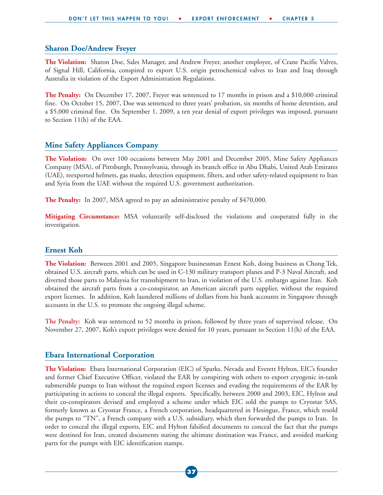#### **Sharon Doe/Andrew Freyer**

**The Violation:** Sharon Doe, Sales Manager, and Andrew Freyer, another employee, of Crane Pacific Valves, of Signal Hill, California, conspired to export U.S. origin petrochemical valves to Iran and Iraq through Australia in violation of the Export Administration Regulations.

**The Penalty:** On December 17, 2007, Freyer was sentenced to 17 months in prison and a \$10,000 criminal fine. On October 15, 2007, Doe was sentenced to three years' probation, six months of home detention, and a \$5,000 criminal fine. On September 1, 2009, a ten year denial of export privileges was imposed, pursuant to Section 11(h) of the EAA.

#### **Mine Safety Appliances Company**

**The Violation:** On over 100 occasions between May 2001 and December 2005, Mine Safety Appliances Company (MSA), of Pittsburgh, Pennsylvania, through its branch office in Abu Dhabi, United Arab Emirates (UAE), reexported helmets, gas masks, detection equipment, filters, and other safety-related equipment to Iran and Syria from the UAE without the required U.S. government authorization.

**The Penalty:** In 2007, MSA agreed to pay an administrative penalty of \$470,000.

**Mitigating Circumstance:** MSA voluntarily self-disclosed the violations and cooperated fully in the investigation.

#### **Ernest Koh**

**The Violation:** Between 2001 and 2005, Singapore businessman Ernest Koh, doing business as Chong Tek, obtained U.S. aircraft parts, which can be used in C-130 military transport planes and P-3 Naval Aircraft, and diverted those parts to Malaysia for transshipment to Iran, in violation of the U.S. embargo against Iran. Koh obtained the aircraft parts from a co-conspirator, an American aircraft parts supplier, without the required export licenses. In addition, Koh laundered millions of dollars from his bank accounts in Singapore through accounts in the U.S. to promote the ongoing illegal scheme.

**The Penalty:** Koh was sentenced to 52 months in prison, followed by three years of supervised release. On November 27, 2007, Koh's export privileges were denied for 10 years, pursuant to Section 11(h) of the EAA.

#### **Ebara International Corporation**

**The Violation:** Ebara International Corporation (EIC) of Sparks, Nevada and Everett Hylton, EIC's founder and former Chief Executive Officer, violated the EAR by conspiring with others to export cryogenic in-tank submersible pumps to Iran without the required export licenses and evading the requirements of the EAR by participating in actions to conceal the illegal exports. Specifically, between 2000 and 2003, EIC, Hylton and their co-conspirators devised and employed a scheme under which EIC sold the pumps to Cryostar SAS, formerly known as Cryostar France, a French corporation, headquartered in Hesingue, France, which resold the pumps to "TN", a French company with a U.S. subsidiary, which then forwarded the pumps to Iran. In order to conceal the illegal exports, EIC and Hylton falsified documents to conceal the fact that the pumps were destined for Iran, created documents stating the ultimate destination was France, and avoided marking parts for the pumps with EIC identification stamps.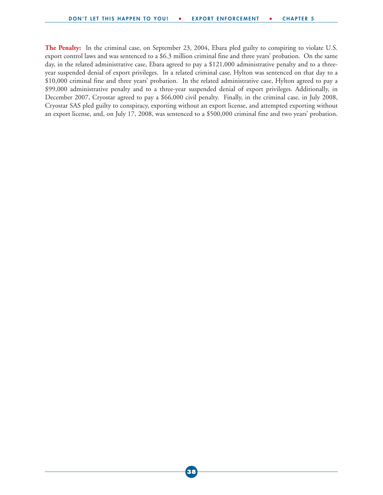**The Penalty:** In the criminal case, on September 23, 2004, Ebara pled guilty to conspiring to violate U.S. export control laws and was sentenced to a \$6.3 million criminal fine and three years' probation. On the same day, in the related administrative case, Ebara agreed to pay a \$121,000 administrative penalty and to a threeyear suspended denial of export privileges. In a related criminal case, Hylton was sentenced on that day to a \$10,000 criminal fine and three years' probation. In the related administrative case, Hylton agreed to pay a \$99,000 administrative penalty and to a three-year suspended denial of export privileges. Additionally, in December 2007, Cryostar agreed to pay a \$66,000 civil penalty. Finally, in the criminal case, in July 2008, Cryostar SAS pled guilty to conspiracy, exporting without an export license, and attempted exporting without an export license, and, on July 17, 2008, was sentenced to a \$500,000 criminal fine and two years' probation.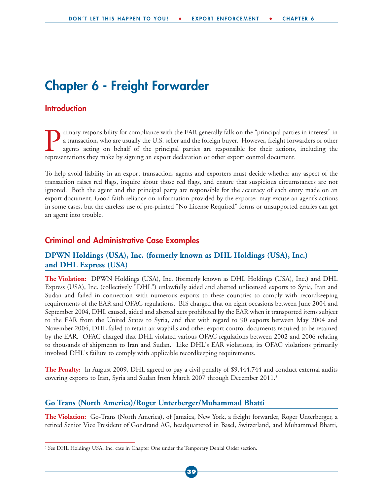### **Chapter 6 - Freight Forwarder**

#### **Introduction**

Trimary responsibility for compliance with the EAR generally falls on the "principal parties in interest" in a transaction, who are usually the U.S. seller and the foreign buyer. However, freight forwarders or other agents a transaction, who are usually the U.S. seller and the foreign buyer. However, freight forwarders or other agents acting on behalf of the principal parties are responsible for their actions, including the representations they make by signing an export declaration or other export control document.

To help avoid liability in an export transaction, agents and exporters must decide whether any aspect of the transaction raises red flags, inquire about those red flags, and ensure that suspicious circumstances are not ignored. Both the agent and the principal party are responsible for the accuracy of each entry made on an export document. Good faith reliance on information provided by the exporter may excuse an agent's actions in some cases, but the careless use of pre-printed "No License Required" forms or unsupported entries can get an agent into trouble.

#### **Criminal and Administrative Case Examples**

#### **DPWN Holdings (USA), Inc. (formerly known as DHL Holdings (USA), Inc.) and DHL Express (USA)**

**The Violation:** DPWN Holdings (USA), Inc. (formerly known as DHL Holdings (USA), Inc.) and DHL Express (USA), Inc. (collectively "DHL") unlawfully aided and abetted unlicensed exports to Syria, Iran and Sudan and failed in connection with numerous exports to these countries to comply with recordkeeping requirements of the EAR and OFAC regulations. BIS charged that on eight occasions between June 2004 and September 2004, DHL caused, aided and abetted acts prohibited by the EAR when it transported items subject to the EAR from the United States to Syria, and that with regard to 90 exports between May 2004 and November 2004, DHL failed to retain air waybills and other export control documents required to be retained by the EAR. OFAC charged that DHL violated various OFAC regulations between 2002 and 2006 relating to thousands of shipments to Iran and Sudan. Like DHL's EAR violations, its OFAC violations primarily involved DHL's failure to comply with applicable recordkeeping requirements.

**The Penalty:** In August 2009, DHL agreed to pay a civil penalty of \$9,444,744 and conduct external audits covering exports to Iran, Syria and Sudan from March 2007 through December 2011.<sup>5</sup>

#### **Go Trans (North America)/Roger Unterberger/Muhammad Bhatti**

**The Violation:** Go-Trans (North America), of Jamaica, New York, a freight forwarder, Roger Unterberger, a retired Senior Vice President of Gondrand AG, headquartered in Basel, Switzerland, and Muhammad Bhatti,

<sup>5</sup> See DHL Holdings USA, Inc. case in Chapter One under the Temporary Denial Order section.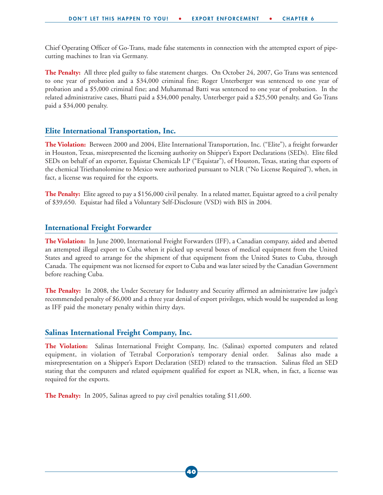Chief Operating Officer of Go-Trans, made false statements in connection with the attempted export of pipecutting machines to Iran via Germany.

**The Penalty:** All three pled guilty to false statement charges. On October 24, 2007, Go Trans was sentenced to one year of probation and a \$34,000 criminal fine; Roger Unterberger was sentenced to one year of probation and a \$5,000 criminal fine; and Muhammad Batti was sentenced to one year of probation. In the related administrative cases, Bhatti paid a \$34,000 penalty, Unterberger paid a \$25,500 penalty, and Go Trans paid a \$34,000 penalty.

#### **Elite International Transportation, Inc.**

**The Violation:** Between 2000 and 2004, Elite International Transportation, Inc. ("Elite"), a freight forwarder in Houston, Texas, misrepresented the licensing authority on Shipper's Export Declarations (SEDs). Elite filed SEDs on behalf of an exporter, Equistar Chemicals LP ("Equistar"), of Houston, Texas, stating that exports of the chemical Triethanolomine to Mexico were authorized pursuant to NLR ("No License Required"), when, in fact, a license was required for the exports.

**The Penalty:** Elite agreed to pay a \$156,000 civil penalty. In a related matter, Equistar agreed to a civil penalty of \$39,650. Equistar had filed a Voluntary Self-Disclosure (VSD) with BIS in 2004.

#### **International Freight Forwarder**

**The Violation:** In June 2000, International Freight Forwarders (IFF), a Canadian company, aided and abetted an attempted illegal export to Cuba when it picked up several boxes of medical equipment from the United States and agreed to arrange for the shipment of that equipment from the United States to Cuba, through Canada. The equipment was not licensed for export to Cuba and was later seized by the Canadian Government before reaching Cuba.

**The Penalty:** In 2008, the Under Secretary for Industry and Security affirmed an administrative law judge's recommended penalty of \$6,000 and a three year denial of export privileges, which would be suspended as long as IFF paid the monetary penalty within thirty days.

#### **Salinas International Freight Company, Inc.**

**The Violation:** Salinas International Freight Company, Inc. (Salinas) exported computers and related equipment, in violation of Tetrabal Corporation's temporary denial order. Salinas also made a misrepresentation on a Shipper's Export Declaration (SED) related to the transaction. Salinas filed an SED stating that the computers and related equipment qualified for export as NLR, when, in fact, a license was required for the exports.

**The Penalty:** In 2005, Salinas agreed to pay civil penalties totaling \$11,600.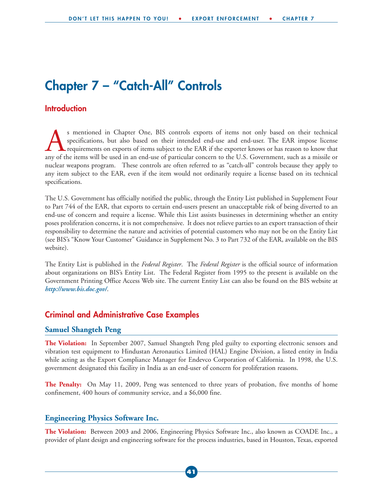### **Chapter 7 – "Catch-All" Controls**

#### **Introduction**

s mentioned in Chapter One, BIS controls exports of items not only based on their technical<br>specifications, but also based on their intended end-use and end-user. The EAR impose license<br>requirements on exports of items sub specifications, but also based on their intended end-use and end-user. The EAR impose license requirements on exports of items subject to the EAR if the exporter knows or has reason to know that any of the items will be used in an end-use of particular concern to the U.S. Government, such as a missile or nuclear weapons program. These controls are often referred to as "catch-all" controls because they apply to any item subject to the EAR, even if the item would not ordinarily require a license based on its technical specifications.

The U.S. Government has officially notified the public, through the Entity List published in Supplement Four to Part 744 of the EAR, that exports to certain end-users present an unacceptable risk of being diverted to an end-use of concern and require a license. While this List assists businesses in determining whether an entity poses proliferation concerns, it is not comprehensive. It does not relieve parties to an export transaction of their responsibility to determine the nature and activities of potential customers who may not be on the Entity List (see BIS's "Know Your Customer" Guidance in Supplement No. 3 to Part 732 of the EAR, available on the BIS website).

The Entity List is published in the *Federal Register*. The *Federal Register* is the official source of information about organizations on BIS's Entity List. The Federal Register from 1995 to the present is available on the Government Printing Office Access Web site. The current Entity List can also be found on the BIS website at *http://www.bis.doc.gov/*.

#### **Criminal and Administrative Case Examples**

#### **Samuel Shangteh Peng**

**The Violation:** In September 2007, Samuel Shangteh Peng pled guilty to exporting electronic sensors and vibration test equipment to Hindustan Aeronautics Limited (HAL) Engine Division, a listed entity in India while acting as the Export Compliance Manager for Endevco Corporation of California. In 1998, the U.S. government designated this facility in India as an end-user of concern for proliferation reasons.

**The Penalty:** On May 11, 2009, Peng was sentenced to three years of probation, five months of home confinement, 400 hours of community service, and a \$6,000 fine.

#### **Engineering Physics Software Inc.**

**The Violation:** Between 2003 and 2006, Engineering Physics Software Inc., also known as COADE Inc., a provider of plant design and engineering software for the process industries, based in Houston, Texas, exported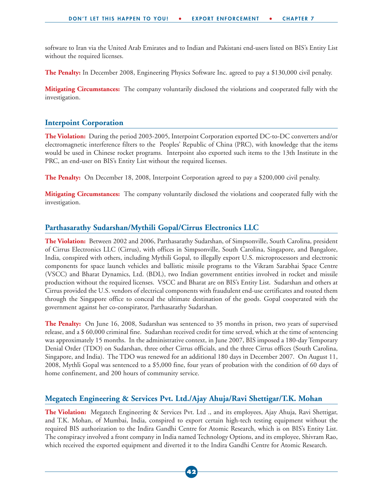software to Iran via the United Arab Emirates and to Indian and Pakistani end-users listed on BIS's Entity List without the required licenses.

**The Penalty:** In December 2008, Engineering Physics Software Inc. agreed to pay a \$130,000 civil penalty.

**Mitigating Circumstances:** The company voluntarily disclosed the violations and cooperated fully with the investigation.

#### **Interpoint Corporation**

**The Violation:** During the period 2003-2005, Interpoint Corporation exported DC-to-DC converters and/or electromagnetic interference filters to the Peoples' Republic of China (PRC), with knowledge that the items would be used in Chinese rocket programs. Interpoint also exported such items to the 13th Institute in the PRC, an end-user on BIS's Entity List without the required licenses.

**The Penalty:** On December 18, 2008, Interpoint Corporation agreed to pay a \$200,000 civil penalty.

**Mitigating Circumstances:** The company voluntarily disclosed the violations and cooperated fully with the investigation.

#### **Parthasarathy Sudarshan/Mythili Gopal/Cirrus Electronics LLC**

**The Violation:** Between 2002 and 2006, Parthasarathy Sudarshan, of Simpsonville, South Carolina, president of Cirrus Electronics LLC (Cirrus), with offices in Simpsonville, South Carolina, Singapore, and Bangalore, India, conspired with others, including Mythili Gopal, to illegally export U.S. microprocessors and electronic components for space launch vehicles and ballistic missile programs to the Vikram Sarabhai Space Centre (VSCC) and Bharat Dynamics, Ltd. (BDL), two Indian government entities involved in rocket and missile production without the required licenses. VSCC and Bharat are on BIS's Entity List. Sudarshan and others at Cirrus provided the U.S. vendors of electrical components with fraudulent end-use certificates and routed them through the Singapore office to conceal the ultimate destination of the goods. Gopal cooperated with the government against her co-conspirator, Parthasarathy Sudarshan.

**The Penalty:** On June 16, 2008, Sudarshan was sentenced to 35 months in prison, two years of supervised release, and a \$ 60,000 criminal fine. Sudarshan received credit for time served, which at the time of sentencing was approximately 15 months. In the administrative context, in June 2007, BIS imposed a 180-day Temporary Denial Order (TDO) on Sudarshan, three other Cirrus officials, and the three Cirrus offices (South Carolina, Singapore, and India). The TDO was renewed for an additional 180 days in December 2007. On August 11, 2008, Mythli Gopal was sentenced to a \$5,000 fine, four years of probation with the condition of 60 days of home confinement, and 200 hours of community service.

#### **Megatech Engineering & Services Pvt. Ltd./Ajay Ahuja/Ravi Shettigar/T.K. Mohan**

**The Violation:** Megatech Engineering & Services Pvt. Ltd ., and its employees, Ajay Ahuja, Ravi Shettigar, and T.K. Mohan, of Mumbai, India, conspired to export certain high-tech testing equipment without the required BIS authorization to the Indira Gandhi Centre for Atomic Research, which is on BIS's Entity List. The conspiracy involved a front company in India named Technology Options, and its employee, Shivram Rao, which received the exported equipment and diverted it to the Indira Gandhi Centre for Atomic Research.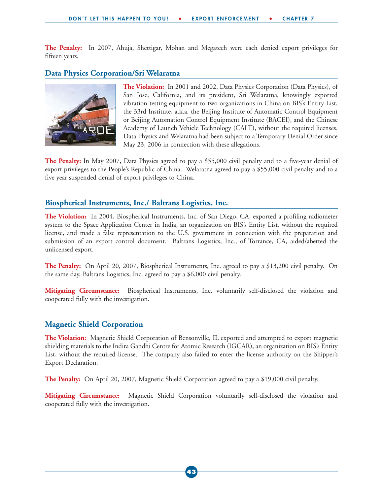**The Penalty:** In 2007, Ahuja, Shettigar, Mohan and Megatech were each denied export privileges for fifteen years.

#### **Data Physics Corporation/Sri Welaratna**



**The Violation:** In 2001 and 2002, Data Physics Corporation (Data Physics), of San Jose, California, and its president, Sri Welaratna, knowingly exported vibration testing equipment to two organizations in China on BIS's Entity List, the 33rd Institute, a.k.a. the Beijing Institute of Automatic Control Equipment or Beijing Automation Control Equipment Institute (BACEI), and the Chinese Academy of Launch Vehicle Technology (CALT), without the required licenses. Data Physics and Welaratna had been subject to a Temporary Denial Order since May 23, 2006 in connection with these allegations.

**The Penalty:** In May 2007, Data Physics agreed to pay a \$55,000 civil penalty and to a five-year denial of export privileges to the People's Republic of China. Welaratna agreed to pay a \$55,000 civil penalty and to a five year suspended denial of export privileges to China.

#### **Biospherical Instruments, Inc./ Baltrans Logistics, Inc.**

**The Violation:** In 2004, Biospherical Instruments, Inc. of San Diego, CA, exported a profiling radiometer system to the Space Application Center in India, an organization on BIS's Entity List, without the required license, and made a false representation to the U.S. government in connection with the preparation and submission of an export control document. Baltrans Logistics, Inc., of Torrance, CA, aided/abetted the unlicensed export.

**The Penalty:** On April 20, 2007, Biospherical Instruments, Inc. agreed to pay a \$13,200 civil penalty. On the same day, Baltrans Logistics, Inc. agreed to pay a \$6,000 civil penalty.

**Mitigating Circumstance:** Biospherical Instruments, Inc. voluntarily self-disclosed the violation and cooperated fully with the investigation.

#### **Magnetic Shield Corporation**

**The Violation:** Magnetic Shield Corporation of Bensonville, IL exported and attempted to export magnetic shielding materials to the Indira Gandhi Centre for Atomic Research (IGCAR), an organization on BIS's Entity List, without the required license. The company also failed to enter the license authority on the Shipper's Export Declaration.

**The Penalty:** On April 20, 2007, Magnetic Shield Corporation agreed to pay a \$19,000 civil penalty.

**Mitigating Circumstance:** Magnetic Shield Corporation voluntarily self-disclosed the violation and cooperated fully with the investigation.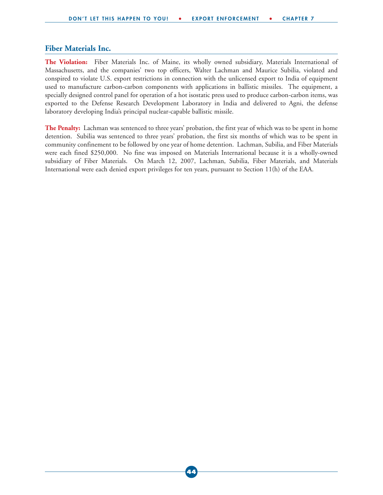#### **Fiber Materials Inc.**

**The Violation:** Fiber Materials Inc. of Maine, its wholly owned subsidiary, Materials International of Massachusetts, and the companies' two top officers, Walter Lachman and Maurice Subilia, violated and conspired to violate U.S. export restrictions in connection with the unlicensed export to India of equipment used to manufacture carbon-carbon components with applications in ballistic missiles. The equipment, a specially designed control panel for operation of a hot isostatic press used to produce carbon-carbon items, was exported to the Defense Research Development Laboratory in India and delivered to Agni, the defense laboratory developing India's principal nuclear-capable ballistic missile.

**The Penalty:** Lachman was sentenced to three years' probation, the first year of which was to be spent in home detention. Subilia was sentenced to three years' probation, the first six months of which was to be spent in community confinement to be followed by one year of home detention. Lachman, Subilia, and Fiber Materials were each fined \$250,000. No fine was imposed on Materials International because it is a wholly-owned subsidiary of Fiber Materials. On March 12, 2007, Lachman, Subilia, Fiber Materials, and Materials International were each denied export privileges for ten years, pursuant to Section 11(h) of the EAA.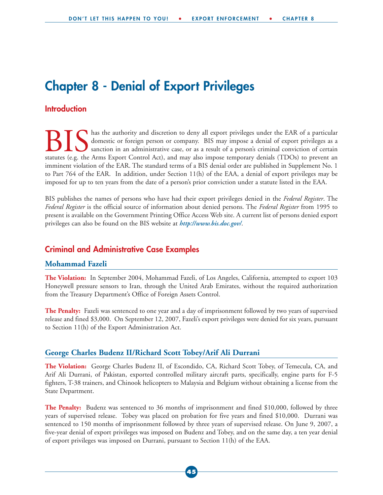### **Chapter 8 - Denial of Export Privileges**

#### **Introduction**

has the authority and discretion to deny all export privileges under the EAR of a particular domestic or foreign person or company. BIS may impose a denial of export privileges as a sanction in an administrative case, or as a result of a person's criminal conviction of certain statutes (e.g. the Arms Export Control Act), and may also impose temporary denials (TDOs) to prevent an imminent violation of the EAR. The standard terms of a BIS denial order are published in Supplement No. 1 to Part 764 of the EAR. In addition, under Section 11(h) of the EAA, a denial of export privileges may be imposed for up to ten years from the date of a person's prior conviction under a statute listed in the EAA.

BIS publishes the names of persons who have had their export privileges denied in the *Federal Register*. The *Federal Register* is the official source of information about denied persons. The *Federal Register* from 1995 to present is available on the Government Printing Office Access Web site. A current list of persons denied export privileges can also be found on the BIS website at *http://www.bis.doc.gov/*.

#### **Criminal and Administrative Case Examples**

#### **Mohammad Fazeli**

**The Violation:** In September 2004, Mohammad Fazeli, of Los Angeles, California, attempted to export 103 Honeywell pressure sensors to Iran, through the United Arab Emirates, without the required authorization from the Treasury Department's Office of Foreign Assets Control.

**The Penalty:** Fazeli was sentenced to one year and a day of imprisonment followed by two years of supervised release and fined \$3,000. On September 12, 2007, Fazeli's export privileges were denied for six years, pursuant to Section 11(h) of the Export Administration Act.

#### **George Charles Budenz II/Richard Scott Tobey/Arif Ali Durrani**

**The Violation:** George Charles Budenz II, of Escondido, CA, Richard Scott Tobey, of Temecula, CA, and Arif Ali Durrani, of Pakistan, exported controlled military aircraft parts, specifically, engine parts for F-5 fighters, T-38 trainers, and Chinook helicopters to Malaysia and Belgium without obtaining a license from the State Department.

**The Penalty:** Budenz was sentenced to 36 months of imprisonment and fined \$10,000, followed by three years of supervised release. Tobey was placed on probation for five years and fined \$10,000. Durrani was sentenced to 150 months of imprisonment followed by three years of supervised release. On June 9, 2007, a five-year denial of export privileges was imposed on Budenz and Tobey, and on the same day, a ten year denial of export privileges was imposed on Durrani, pursuant to Section 11(h) of the EAA.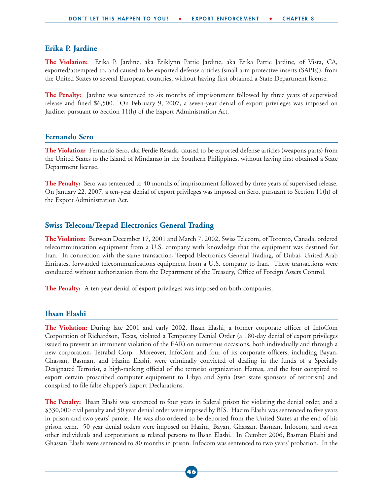#### **Erika P. Jardine**

**The Violation:** Erika P. Jardine, aka Eriklynn Pattie Jardine, aka Erika Pattie Jardine, of Vista, CA, exported/attempted to, and caused to be exported defense articles (small arm protective inserts (SAPIs)), from the United States to several European countries, without having first obtained a State Department license.

**The Penalty:** Jardine was sentenced to six months of imprisonment followed by three years of supervised release and fined \$6,500. On February 9, 2007, a seven-year denial of export privileges was imposed on Jardine, pursuant to Section 11(h) of the Export Administration Act.

#### **Fernando Sero**

**The Violation:** Fernando Sero, aka Ferdie Resada, caused to be exported defense articles (weapons parts) from the United States to the Island of Mindanao in the Southern Philippines, without having first obtained a State Department license.

**The Penalty:** Sero was sentenced to 40 months of imprisonment followed by three years of supervised release. On January 22, 2007, a ten-year denial of export privileges was imposed on Sero, pursuant to Section 11(h) of the Export Administration Act.

#### **Swiss Telecom/Teepad Electronics General Trading**

**The Violation:** Between December 17, 2001 and March 7, 2002, Swiss Telecom, of Toronto, Canada, ordered telecommunication equipment from a U.S. company with knowledge that the equipment was destined for Iran. In connection with the same transaction, Teepad Electronics General Trading, of Dubai, United Arab Emirates, forwarded telecommunications equipment from a U.S. company to Iran. These transactions were conducted without authorization from the Department of the Treasury, Office of Foreign Assets Control.

**The Penalty:** A ten year denial of export privileges was imposed on both companies.

#### **Ihsan Elashi**

**The Violation:** During late 2001 and early 2002, Ihsan Elashi, a former corporate officer of InfoCom Corporation of Richardson, Texas, violated a Temporary Denial Order (a 180-day denial of export privileges issued to prevent an imminent violation of the EAR) on numerous occasions, both individually and through a new corporation, Tetrabal Corp. Moreover, InfoCom and four of its corporate officers, including Bayan, Ghassan, Basman, and Hazim Elashi, were criminally convicted of dealing in the funds of a Specially Designated Terrorist, a high-ranking official of the terrorist organization Hamas, and the four conspired to export certain proscribed computer equipment to Libya and Syria (two state sponsors of terrorism) and conspired to file false Shipper's Export Declarations.

**The Penalty:** Ihsan Elashi was sentenced to four years in federal prison for violating the denial order, and a \$330,000 civil penalty and 50 year denial order were imposed by BIS. Hazim Elashi was sentenced to five years in prison and two years' parole. He was also ordered to be deported from the United States at the end of his prison term. 50 year denial orders were imposed on Hazim, Bayan, Ghassan, Basman, Infocom, and seven other individuals and corporations as related persons to Ihsan Elashi. In October 2006, Basman Elashi and Ghassan Elashi were sentenced to 80 months in prison. Infocom was sentenced to two years' probation. In the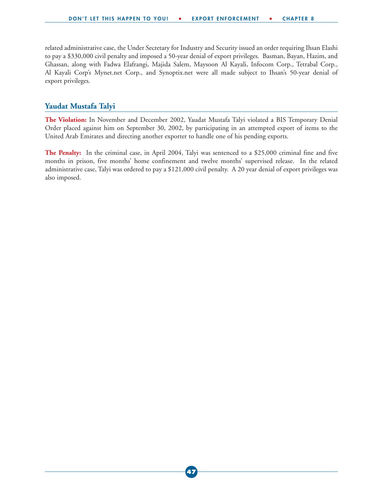related administrative case, the Under Secretary for Industry and Security issued an order requiring Ihsan Elashi to pay a \$330,000 civil penalty and imposed a 50-year denial of export privileges. Basman, Bayan, Hazim, and Ghassan, along with Fadwa Elafrangi, Majida Salem, Maysoon Al Kayali, Infocom Corp., Tetrabal Corp., Al Kayali Corp's Mynet.net Corp., and Synoptix.net were all made subject to Ihsan's 50-year denial of export privileges.

#### **Yaudat Mustafa Talyi**

**The Violation:** In November and December 2002, Yaudat Mustafa Talyi violated a BIS Temporary Denial Order placed against him on September 30, 2002, by participating in an attempted export of items to the United Arab Emirates and directing another exporter to handle one of his pending exports.

**The Penalty:** In the criminal case, in April 2004, Talyi was sentenced to a \$25,000 criminal fine and five months in prison, five months' home confinement and twelve months' supervised release. In the related administrative case, Talyi was ordered to pay a \$121,000 civil penalty. A 20 year denial of export privileges was also imposed.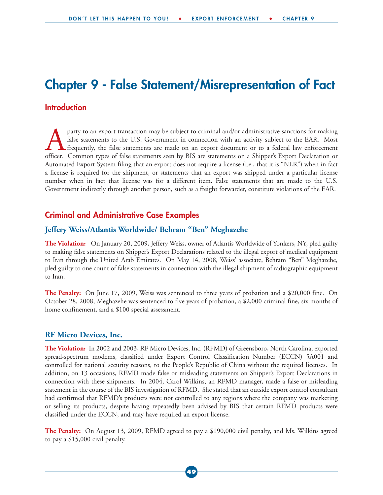### **Chapter 9 - False Statement/Misrepresentation of Fact**

#### **Introduction**

party to an export transaction may be subject to criminal and/or administrative sanctions for making<br>false statements to the U.S. Government in connection with an activity subject to the EAR. Most<br>frequently, the false sta false statements to the U.S. Government in connection with an activity subject to the EAR. Most frequently, the false statements are made on an export document or to a federal law enforcement officer. Common types of false statements seen by BIS are statements on a Shipper's Export Declaration or Automated Export System filing that an export does not require a license (i.e., that it is "NLR") when in fact a license is required for the shipment, or statements that an export was shipped under a particular license number when in fact that license was for a different item. False statements that are made to the U.S. Government indirectly through another person, such as a freight forwarder, constitute violations of the EAR.

#### **Criminal and Administrative Case Examples**

#### **Jeffery Weiss/Atlantis Worldwide/ Behram "Ben" Meghazehe**

**The Violation:** On January 20, 2009, Jeffery Weiss, owner of Atlantis Worldwide of Yonkers, NY, pled guilty to making false statements on Shipper's Export Declarations related to the illegal export of medical equipment to Iran through the United Arab Emirates. On May 14, 2008, Weiss' associate, Behram "Ben" Meghazehe, pled guilty to one count of false statements in connection with the illegal shipment of radiographic equipment to Iran.

**The Penalty:** On June 17, 2009, Weiss was sentenced to three years of probation and a \$20,000 fine. On October 28, 2008, Meghazehe was sentenced to five years of probation, a \$2,000 criminal fine, six months of home confinement, and a \$100 special assessment.

#### **RF Micro Devices, Inc.**

**The Violation:** In 2002 and 2003, RF Micro Devices, Inc. (RFMD) of Greensboro, North Carolina, exported spread-spectrum modems, classified under Export Control Classification Number (ECCN) 5A001 and controlled for national security reasons, to the People's Republic of China without the required licenses. In addition, on 13 occasions, RFMD made false or misleading statements on Shipper's Export Declarations in connection with these shipments. In 2004, Carol Wilkins, an RFMD manager, made a false or misleading statement in the course of the BIS investigation of RFMD. She stated that an outside export control consultant had confirmed that RFMD's products were not controlled to any regions where the company was marketing or selling its products, despite having repeatedly been advised by BIS that certain RFMD products were classified under the ECCN, and may have required an export license.

**The Penalty:** On August 13, 2009, RFMD agreed to pay a \$190,000 civil penalty, and Ms. Wilkins agreed to pay a \$15,000 civil penalty.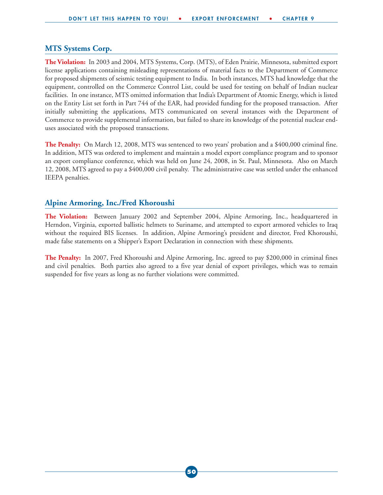#### **MTS Systems Corp.**

**The Violation:** In 2003 and 2004, MTS Systems, Corp. (MTS), of Eden Prairie, Minnesota, submitted export license applications containing misleading representations of material facts to the Department of Commerce for proposed shipments of seismic testing equipment to India. In both instances, MTS had knowledge that the equipment, controlled on the Commerce Control List, could be used for testing on behalf of Indian nuclear facilities. In one instance, MTS omitted information that India's Department of Atomic Energy, which is listed on the Entity List set forth in Part 744 of the EAR, had provided funding for the proposed transaction. After initially submitting the applications, MTS communicated on several instances with the Department of Commerce to provide supplemental information, but failed to share its knowledge of the potential nuclear enduses associated with the proposed transactions.

**The Penalty:** On March 12, 2008, MTS was sentenced to two years' probation and a \$400,000 criminal fine. In addition, MTS was ordered to implement and maintain a model export compliance program and to sponsor an export compliance conference, which was held on June 24, 2008, in St. Paul, Minnesota. Also on March 12, 2008, MTS agreed to pay a \$400,000 civil penalty. The administrative case was settled under the enhanced IEEPA penalties.

#### **Alpine Armoring, Inc./Fred Khoroushi**

**The Violation:** Between January 2002 and September 2004, Alpine Armoring, Inc., headquartered in Herndon, Virginia, exported ballistic helmets to Suriname, and attempted to export armored vehicles to Iraq without the required BIS licenses. In addition, Alpine Armoring's president and director, Fred Khoroushi, made false statements on a Shipper's Export Declaration in connection with these shipments.

**The Penalty:** In 2007, Fred Khoroushi and Alpine Armoring, Inc. agreed to pay \$200,000 in criminal fines and civil penalties. Both parties also agreed to a five year denial of export privileges, which was to remain suspended for five years as long as no further violations were committed.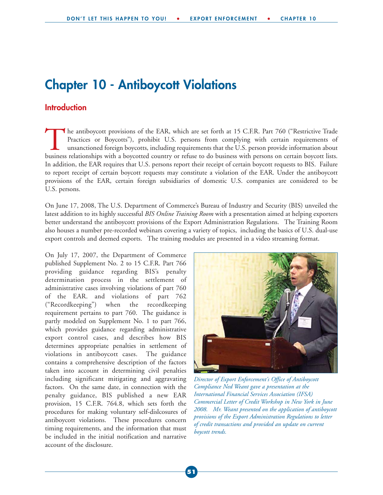### **Chapter 10 - Antiboycott Violations**

#### **Introduction**

The antiboycott provisions of the EAR, which are set forth at 15 C.F.R. Part 760 ("Restrictive Trade Practices or Boycotts"), prohibit U.S. persons from complying with certain requirements of unsanctioned foreign boycotts, including requirements that the U.S. person provide information about business relationships with a boycotted country or refuse to do business with persons on certain boycott lists. In addition, the EAR requires that U.S. persons report their receipt of certain boycott requests to BIS. Failure to report receipt of certain boycott requests may constitute a violation of the EAR. Under the antiboycott provisions of the EAR, certain foreign subsidiaries of domestic U.S. companies are considered to be U.S. persons.

On June 17, 2008, The U.S. Department of Commerce's Bureau of Industry and Security (BIS) unveiled the latest addition to its highly successful *BIS Online Training Room* with a presentation aimed at helping exporters better understand the antiboycott provisions of the Export Administration Regulations. The Training Room also houses a number pre-recorded webinars covering a variety of topics, including the basics of U.S. dual-use export controls and deemed exports. The training modules are presented in a video streaming format.

On July 17, 2007, the Department of Commerce published Supplement No. 2 to 15 C.F.R. Part 766 providing guidance regarding BIS's penalty determination process in the settlement of administrative cases involving violations of part 760 of the EAR. and violations of part 762 ("Recordkeeping") when the recordkeeping requirement pertains to part 760. The guidance is partly modeled on Supplement No. 1 to part 766, which provides guidance regarding administrative export control cases, and describes how BIS determines appropriate penalties in settlement of violations in antiboycott cases. The guidance contains a comprehensive description of the factors taken into account in determining civil penalties including significant mitigating and aggravating factors. On the same date, in connection with the penalty guidance, BIS published a new EAR provision, 15 C.F.R. 764.8, which sets forth the procedures for making voluntary self-dislcosures of antiboycott violations. These procedures concern timing requirements, and the information that must be included in the initial notification and narrative account of the disclosure.



*Director of Export Enforcement's Office of Antiboycott Compliance Ned Weant gave a presentation at the International Financial Services Association (IFSA) Commercial Letter of Credit Workshop in New York in June 2008. Mr. Weant presented on the application of antiboycott provisions of the Export Administration Regulations to letter of credit transactions and provided an update on current boycott trends.*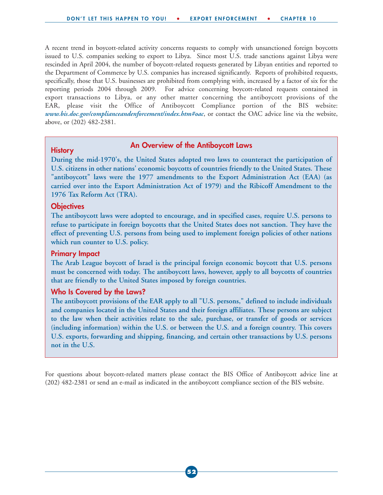A recent trend in boycott-related activity concerns requests to comply with unsanctioned foreign boycotts issued to U.S. companies seeking to export to Libya. Since most U.S. trade sanctions against Libya were rescinded in April 2004, the number of boycott-related requests generated by Libyan entities and reported to the Department of Commerce by U.S. companies has increased significantly. Reports of prohibited requests, specifically, those that U.S. businesses are prohibited from complying with, increased by a factor of six for the reporting periods 2004 through 2009. For advice concerning boycott-related requests contained in export transactions to Libya, or any other matter concerning the antiboycott provisions of the EAR, please visit the Office of Antiboycott Compliance portion of the BIS website: *www.bis.doc.gov/complianceandenforcement/index.htm#oac*, or contact the OAC advice line via the website, above, or (202) 482-2381.

### **An Overview of the Antiboycott Laws History**

**During the mid-1970's, the United States adopted two laws to counteract the participation of U.S. citizens in other nations' economic boycotts of countries friendly to the United States. These "antiboycott" laws were the 1977 amendments to the Export Administration Act (EAA) (as carried over into the Export Administration Act of 1979) and the Ribicoff Amendment to the 1976 Tax Reform Act (TRA).**

#### **Objectives**

**The antiboycott laws were adopted to encourage, and in specified cases, require U.S. persons to refuse to participate in foreign boycotts that the United States does not sanction. They have the effect of preventing U.S. persons from being used to implement foreign policies of other nations which run counter to U.S. policy.**

#### **Primary Impact**

**The Arab League boycott of Israel is the principal foreign economic boycott that U.S. persons must be concerned with today. The antiboycott laws, however, apply to all boycotts of countries that are friendly to the United States imposed by foreign countries.**

#### **Who Is Covered by the Laws?**

**The antiboycott provisions of the EAR apply to all "U.S. persons," defined to include individuals and companies located in the United States and their foreign affiliates. These persons are subject to the law when their activities relate to the sale, purchase, or transfer of goods or services (including information) within the U.S. or between the U.S. and a foreign country. This covers U.S. exports, forwarding and shipping, financing, and certain other transactions by U.S. persons not in the U.S.**

For questions about boycott-related matters please contact the BIS Office of Antiboycott advice line at (202) 482-2381 or send an e-mail as indicated in the antiboycott compliance section of the BIS website.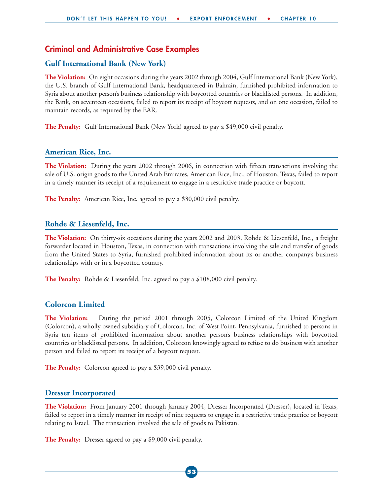#### **Criminal and Administrative Case Examples**

#### **Gulf International Bank (New York)**

**The Violation:** On eight occasions during the years 2002 through 2004, Gulf International Bank (New York), the U.S. branch of Gulf International Bank, headquartered in Bahrain, furnished prohibited information to Syria about another person's business relationship with boycotted countries or blacklisted persons. In addition, the Bank, on seventeen occasions, failed to report its receipt of boycott requests, and on one occasion, failed to maintain records, as required by the EAR.

**The Penalty:** Gulf International Bank (New York) agreed to pay a \$49,000 civil penalty.

#### **American Rice, Inc.**

**The Violation:** During the years 2002 through 2006, in connection with fifteen transactions involving the sale of U.S. origin goods to the United Arab Emirates, American Rice, Inc., of Houston, Texas, failed to report in a timely manner its receipt of a requirement to engage in a restrictive trade practice or boycott.

**The Penalty:** American Rice, Inc. agreed to pay a \$30,000 civil penalty.

#### **Rohde & Liesenfeld, Inc.**

**The Violation:** On thirty-six occasions during the years 2002 and 2003, Rohde & Liesenfeld, Inc., a freight forwarder located in Houston, Texas, in connection with transactions involving the sale and transfer of goods from the United States to Syria, furnished prohibited information about its or another company's business relationships with or in a boycotted country.

**The Penalty:** Rohde & Liesenfeld, Inc. agreed to pay a \$108,000 civil penalty.

#### **Colorcon Limited**

**The Violation:** During the period 2001 through 2005, Colorcon Limited of the United Kingdom (Colorcon), a wholly owned subsidiary of Colorcon, Inc. of West Point, Pennsylvania, furnished to persons in Syria ten items of prohibited information about another person's business relationships with boycotted countries or blacklisted persons. In addition, Colorcon knowingly agreed to refuse to do business with another person and failed to report its receipt of a boycott request.

**The Penalty:** Colorcon agreed to pay a \$39,000 civil penalty.

#### **Dresser Incorporated**

**The Violation:** From January 2001 through January 2004, Dresser Incorporated (Dresser), located in Texas, failed to report in a timely manner its receipt of nine requests to engage in a restrictive trade practice or boycott relating to Israel. The transaction involved the sale of goods to Pakistan.

**The Penalty:** Dresser agreed to pay a \$9,000 civil penalty.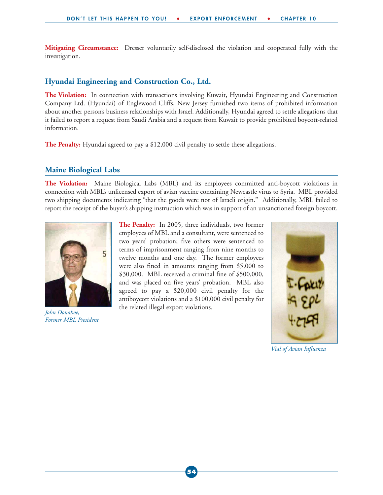**Mitigating Circumstance:** Dresser voluntarily self-disclosed the violation and cooperated fully with the investigation.

#### **Hyundai Engineering and Construction Co., Ltd.**

**The Violation:** In connection with transactions involving Kuwait, Hyundai Engineering and Construction Company Ltd. (Hyundai) of Englewood Cliffs, New Jersey furnished two items of prohibited information about another person's business relationships with Israel. Additionally, Hyundai agreed to settle allegations that it failed to report a request from Saudi Arabia and a request from Kuwait to provide prohibited boycott-related information.

**The Penalty:** Hyundai agreed to pay a \$12,000 civil penalty to settle these allegations.

#### **Maine Biological Labs**

**The Violation:** Maine Biological Labs (MBL) and its employees committed anti-boycott violations in connection with MBL's unlicensed export of avian vaccine containing Newcastle virus to Syria. MBL provided two shipping documents indicating "that the goods were not of Israeli origin." Additionally, MBL failed to report the receipt of the buyer's shipping instruction which was in support of an unsanctioned foreign boycott.



*John Donahoe, Former MBL President*

**The Penalty:** In 2005, three individuals, two former employees of MBL and a consultant, were sentenced to two years' probation; five others were sentenced to terms of imprisonment ranging from nine months to twelve months and one day. The former employees were also fined in amounts ranging from \$5,000 to \$30,000. MBL received a criminal fine of \$500,000, and was placed on five years' probation. MBL also agreed to pay a \$20,000 civil penalty for the antiboycott violations and a \$100,000 civil penalty for the related illegal export violations.



*Vial of Avian Influenza*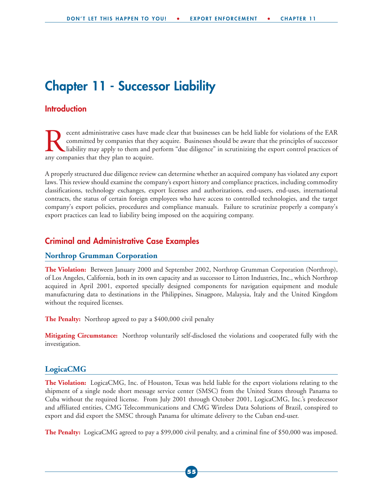## **Chapter 11 - Successor Liability**

#### **Introduction**

Fecent administrative cases have made clear that businesses can be held liable for violations of the EAR committed by companies that they acquire. Businesses should be aware that the principles of successor liability may a committed by companies that they acquire. Businesses should be aware that the principles of successor liability may apply to them and perform "due diligence" in scrutinizing the export control practices of any companies that they plan to acquire.

A properly structured due diligence review can determine whether an acquired company has violated any export laws. This review should examine the company's export history and compliance practices, including commodity classifications, technology exchanges, export licenses and authorizations, end-users, end-uses, international contracts, the status of certain foreign employees who have access to controlled technologies, and the target company's export policies, procedures and compliance manuals. Failure to scrutinize properly a company's export practices can lead to liability being imposed on the acquiring company.

#### **Criminal and Administrative Case Examples**

#### **Northrop Grumman Corporation**

**The Violation:** Between January 2000 and September 2002, Northrop Grumman Corporation (Northrop), of Los Angeles, California, both in its own capacity and as successor to Litton Industries, Inc., which Northrop acquired in April 2001, exported specially designed components for navigation equipment and module manufacturing data to destinations in the Philippines, Sinagpore, Malaysia, Italy and the United Kingdom without the required licenses.

**The Penalty:** Northrop agreed to pay a \$400,000 civil penalty

**Mitigating Circumstance:** Northrop voluntarily self-disclosed the violations and cooperated fully with the investigation.

#### **LogicaCMG**

**The Violation:** LogicaCMG, Inc. of Houston, Texas was held liable for the export violations relating to the shipment of a single node short message service center (SMSC) from the United States through Panama to Cuba without the required license. From July 2001 through October 2001, LogicaCMG, Inc.'s predecessor and affiliated entities, CMG Telecommunications and CMG Wireless Data Solutions of Brazil, conspired to export and did export the SMSC through Panama for ultimate delivery to the Cuban end-user.

**The Penalty:** LogicaCMG agreed to pay a \$99,000 civil penalty, and a criminal fine of \$50,000 was imposed.